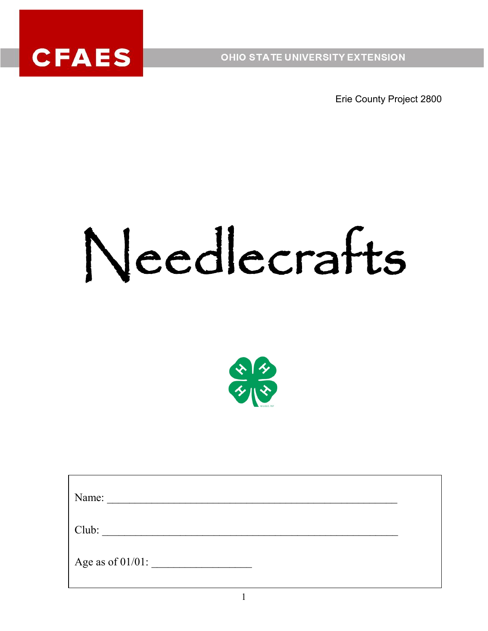

**OHIO STATE UNIVERSITY EXTENSION** 

Erie County Project 2800

Erie County Project 2800

# Needlecrafts



| Name:               |  |
|---------------------|--|
| Club:               |  |
| Age as of $01/01$ : |  |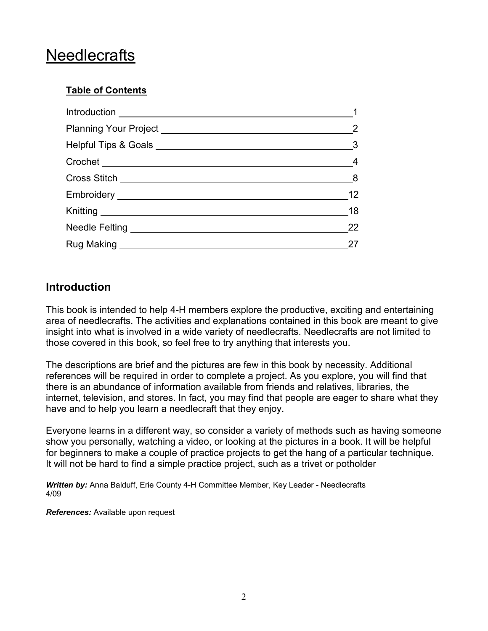# **Needlecrafts**

#### **Table of Contents**

| Planning Your Project 22 |    |
|--------------------------|----|
|                          |    |
|                          |    |
|                          |    |
|                          | 12 |
|                          | 18 |
|                          | 22 |
|                          |    |

## **Introduction**

This book is intended to help 4-H members explore the productive, exciting and entertaining area of needlecrafts. The activities and explanations contained in this book are meant to give insight into what is involved in a wide variety of needlecrafts. Needlecrafts are not limited to those covered in this book, so feel free to try anything that interests you.

The descriptions are brief and the pictures are few in this book by necessity. Additional references will be required in order to complete a project. As you explore, you will find that there is an abundance of information available from friends and relatives, libraries, the internet, television, and stores. In fact, you may find that people are eager to share what they have and to help you learn a needlecraft that they enjoy.

Everyone learns in a different way, so consider a variety of methods such as having someone show you personally, watching a video, or looking at the pictures in a book. It will be helpful for beginners to make a couple of practice projects to get the hang of a particular technique. It will not be hard to find a simple practice project, such as a trivet or potholder

*Written by:* Anna Balduff, Erie County 4-H Committee Member, Key Leader - Needlecrafts 4/09

*References:* Available upon request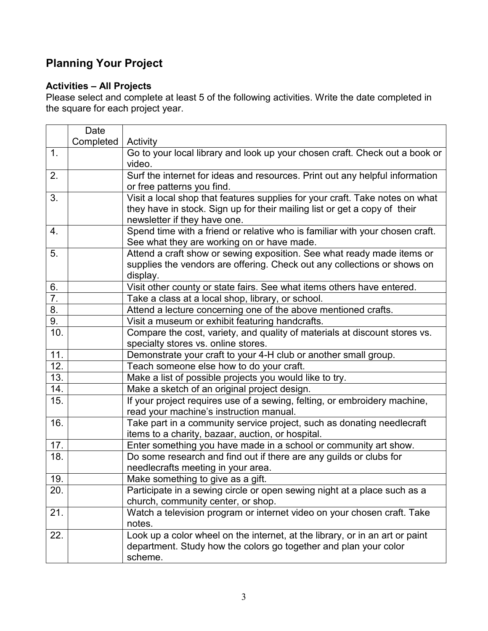# **Planning Your Project**

#### **Activities – All Projects**

Please select and complete at least 5 of the following activities. Write the date completed in the square for each project year.

|                  | Date      |                                                                                       |
|------------------|-----------|---------------------------------------------------------------------------------------|
|                  | Completed | Activity                                                                              |
| 1.               |           | Go to your local library and look up your chosen craft. Check out a book or<br>video. |
| 2.               |           | Surf the internet for ideas and resources. Print out any helpful information          |
|                  |           | or free patterns you find.                                                            |
| 3.               |           | Visit a local shop that features supplies for your craft. Take notes on what          |
|                  |           | they have in stock. Sign up for their mailing list or get a copy of their             |
|                  |           | newsletter if they have one.                                                          |
| $\overline{4}$ . |           | Spend time with a friend or relative who is familiar with your chosen craft.          |
|                  |           | See what they are working on or have made.                                            |
| 5.               |           | Attend a craft show or sewing exposition. See what ready made items or                |
|                  |           | supplies the vendors are offering. Check out any collections or shows on              |
|                  |           | display.                                                                              |
| 6.               |           | Visit other county or state fairs. See what items others have entered.                |
| $\overline{7}$ . |           | Take a class at a local shop, library, or school.                                     |
| $\overline{8}$ . |           | Attend a lecture concerning one of the above mentioned crafts.                        |
| 9.               |           | Visit a museum or exhibit featuring handcrafts.                                       |
| 10.              |           | Compare the cost, variety, and quality of materials at discount stores vs.            |
|                  |           | specialty stores vs. online stores.                                                   |
| 11.              |           | Demonstrate your craft to your 4-H club or another small group.                       |
| 12.              |           | Teach someone else how to do your craft.                                              |
| 13.              |           | Make a list of possible projects you would like to try.                               |
| 14.              |           | Make a sketch of an original project design.                                          |
| 15.              |           | If your project requires use of a sewing, felting, or embroidery machine,             |
|                  |           | read your machine's instruction manual.                                               |
| 16.              |           | Take part in a community service project, such as donating needlecraft                |
|                  |           | items to a charity, bazaar, auction, or hospital.                                     |
| 17.              |           | Enter something you have made in a school or community art show.                      |
| 18.              |           | Do some research and find out if there are any guilds or clubs for                    |
|                  |           | needlecrafts meeting in your area.                                                    |
| 19.              |           | Make something to give as a gift.                                                     |
| 20.              |           | Participate in a sewing circle or open sewing night at a place such as a              |
|                  |           | church, community center, or shop.                                                    |
| 21.              |           | Watch a television program or internet video on your chosen craft. Take               |
|                  |           | notes.                                                                                |
| 22.              |           | Look up a color wheel on the internet, at the library, or in an art or paint          |
|                  |           | department. Study how the colors go together and plan your color                      |
|                  |           | scheme.                                                                               |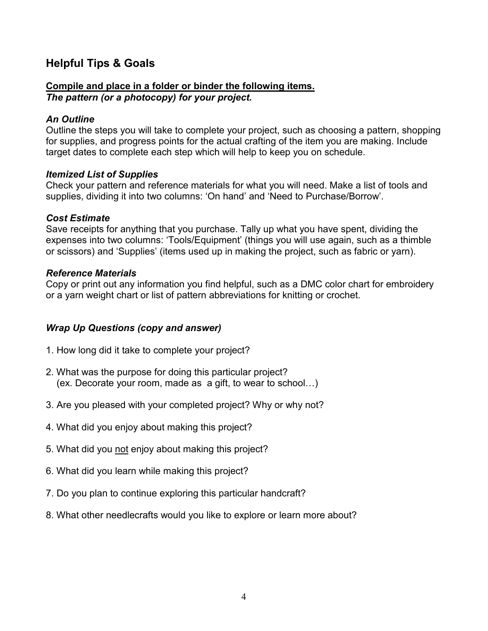## **Helpful Tips & Goals**

#### **Compile and place in a folder or binder the following items.** *The pattern (or a photocopy) for your project.*

#### *An Outline*

Outline the steps you will take to complete your project, such as choosing a pattern, shopping for supplies, and progress points for the actual crafting of the item you are making. Include target dates to complete each step which will help to keep you on schedule.

#### *Itemized List of Supplies*

Check your pattern and reference materials for what you will need. Make a list of tools and supplies, dividing it into two columns: 'On hand' and 'Need to Purchase/Borrow'.

#### *Cost Estimate*

Save receipts for anything that you purchase. Tally up what you have spent, dividing the expenses into two columns: 'Tools/Equipment' (things you will use again, such as a thimble or scissors) and 'Supplies' (items used up in making the project, such as fabric or yarn).

#### *Reference Materials*

Copy or print out any information you find helpful, such as a DMC color chart for embroidery or a yarn weight chart or list of pattern abbreviations for knitting or crochet.

#### *Wrap Up Questions (copy and answer)*

- 1. How long did it take to complete your project?
- 2. What was the purpose for doing this particular project? (ex. Decorate your room, made as a gift, to wear to school…)
- 3. Are you pleased with your completed project? Why or why not?
- 4. What did you enjoy about making this project?
- 5. What did you not enjoy about making this project?
- 6. What did you learn while making this project?
- 7. Do you plan to continue exploring this particular handcraft?
- 8. What other needlecrafts would you like to explore or learn more about?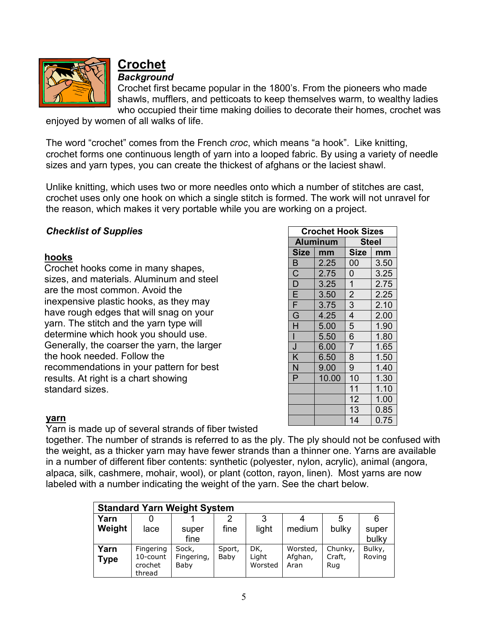

# **Crochet**

*Background*

Crochet first became popular in the 1800's. From the pioneers who made shawls, mufflers, and petticoats to keep themselves warm, to wealthy ladies who occupied their time making doilies to decorate their homes, crochet was

enjoyed by women of all walks of life.

The word "crochet" comes from the French *croc*, which means "a hook". Like knitting, crochet forms one continuous length of yarn into a looped fabric. By using a variety of needle sizes and yarn types, you can create the thickest of afghans or the laciest shawl.

Unlike knitting, which uses two or more needles onto which a number of stitches are cast, crochet uses only one hook on which a single stitch is formed. The work will not unravel for the reason, which makes it very portable while you are working on a project.

#### *Checklist of Supplies*

#### **hooks**

Crochet hooks come in many shapes, sizes, and materials. Aluminum and steel are the most common. Avoid the inexpensive plastic hooks, as they may have rough edges that will snag on your yarn. The stitch and the yarn type will determine which hook you should use. Generally, the coarser the yarn, the larger the hook needed. Follow the recommendations in your pattern for best results. At right is a chart showing standard sizes.

| <b>Crochet Hook Sizes</b>           |                 |                |      |  |  |
|-------------------------------------|-----------------|----------------|------|--|--|
|                                     | <b>Aluminum</b> | Steel          |      |  |  |
| <b>Size</b>                         | mm              | <b>Size</b>    | mm   |  |  |
| B                                   | 2.25            | 00             | 3.50 |  |  |
| $\overline{\text{C}}$               | 2.75            | $\overline{0}$ | 3.25 |  |  |
| $\frac{\overline{D}}{\overline{E}}$ | 3.25            | $\mathbf 1$    | 2.75 |  |  |
|                                     | 3.50            | $\overline{2}$ | 2.25 |  |  |
| $\overline{\mathsf{F}}$             | 3.75            | 3              | 2.10 |  |  |
| $\overline{\mathsf{G}}$             | 4.25            | $\overline{4}$ | 2.00 |  |  |
| $\overline{\mathsf{H}}$             | 5.00            | 5              | 1.90 |  |  |
|                                     | 5.50            | 6              | 1.80 |  |  |
| J                                   | 6.00            | $\overline{7}$ | 1.65 |  |  |
| $\overline{\mathsf{K}}$             | 6.50            | 8              | 1.50 |  |  |
| $\overline{\mathsf{N}}$             | 9.00            | 9              | 1.40 |  |  |
| $\overline{\mathsf{P}}$             | 10.00           | 10             | 1.30 |  |  |
|                                     |                 | 11             | 1.10 |  |  |
|                                     |                 | 12             | 1.00 |  |  |
|                                     |                 | 13             | 0.85 |  |  |
|                                     |                 | 14             | 0.75 |  |  |

#### **yarn**

Yarn is made up of several strands of fiber twisted

together. The number of strands is referred to as the ply. The ply should not be confused with the weight, as a thicker yarn may have fewer strands than a thinner one. Yarns are available in a number of different fiber contents: synthetic (polyester, nylon, acrylic), animal (angora, alpaca, silk, cashmere, mohair, wool), or plant (cotton, rayon, linen). Most yarns are now labeled with a number indicating the weight of the yarn. See the chart below.

| <b>Standard Yarn Weight System</b> |                     |                    |        |                  |                 |               |        |  |
|------------------------------------|---------------------|--------------------|--------|------------------|-----------------|---------------|--------|--|
| Yarn                               |                     |                    |        | 3                |                 | 5             | 6      |  |
| Weight                             | lace                | super              | fine   | light            | medium          | bulky         | super  |  |
|                                    |                     | fine               |        |                  |                 |               | bulky  |  |
| Yarn                               | Fingering           | Sock,              | Sport, | DK.              | Worsted,        | Chunky,       | Bulky, |  |
| <b>Type</b>                        | 10-count<br>crochet | Fingering,<br>Baby | Baby   | Light<br>Worsted | Afghan,<br>Aran | Craft,<br>Rug | Roving |  |
|                                    | thread              |                    |        |                  |                 |               |        |  |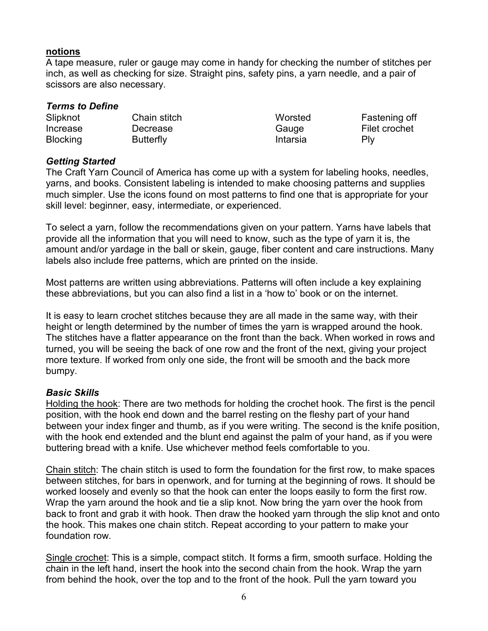#### **notions**

A tape measure, ruler or gauge may come in handy for checking the number of stitches per inch, as well as checking for size. Straight pins, safety pins, a yarn needle, and a pair of scissors are also necessary.

| <b>Terms to Define</b> |                  |          |               |
|------------------------|------------------|----------|---------------|
| Slipknot               | Chain stitch     | Worsted  | Fastening off |
| Increase               | Decrease         | Gauge    | Filet crochet |
| <b>Blocking</b>        | <b>Butterfly</b> | Intarsia | Plv           |

#### *Getting Started*

The Craft Yarn Council of America has come up with a system for labeling hooks, needles, yarns, and books. Consistent labeling is intended to make choosing patterns and supplies much simpler. Use the icons found on most patterns to find one that is appropriate for your skill level: beginner, easy, intermediate, or experienced.

To select a yarn, follow the recommendations given on your pattern. Yarns have labels that provide all the information that you will need to know, such as the type of yarn it is, the amount and/or yardage in the ball or skein, gauge, fiber content and care instructions. Many labels also include free patterns, which are printed on the inside.

Most patterns are written using abbreviations. Patterns will often include a key explaining these abbreviations, but you can also find a list in a 'how to' book or on the internet.

It is easy to learn crochet stitches because they are all made in the same way, with their height or length determined by the number of times the yarn is wrapped around the hook. The stitches have a flatter appearance on the front than the back. When worked in rows and turned, you will be seeing the back of one row and the front of the next, giving your project more texture. If worked from only one side, the front will be smooth and the back more bumpy.

#### *Basic Skills*

Holding the hook: There are two methods for holding the crochet hook. The first is the pencil position, with the hook end down and the barrel resting on the fleshy part of your hand between your index finger and thumb, as if you were writing. The second is the knife position, with the hook end extended and the blunt end against the palm of your hand, as if you were buttering bread with a knife. Use whichever method feels comfortable to you.

Chain stitch: The chain stitch is used to form the foundation for the first row, to make spaces between stitches, for bars in openwork, and for turning at the beginning of rows. It should be worked loosely and evenly so that the hook can enter the loops easily to form the first row. Wrap the yarn around the hook and tie a slip knot. Now bring the yarn over the hook from back to front and grab it with hook. Then draw the hooked yarn through the slip knot and onto the hook. This makes one chain stitch. Repeat according to your pattern to make your foundation row.

Single crochet: This is a simple, compact stitch. It forms a firm, smooth surface. Holding the chain in the left hand, insert the hook into the second chain from the hook. Wrap the yarn from behind the hook, over the top and to the front of the hook. Pull the yarn toward you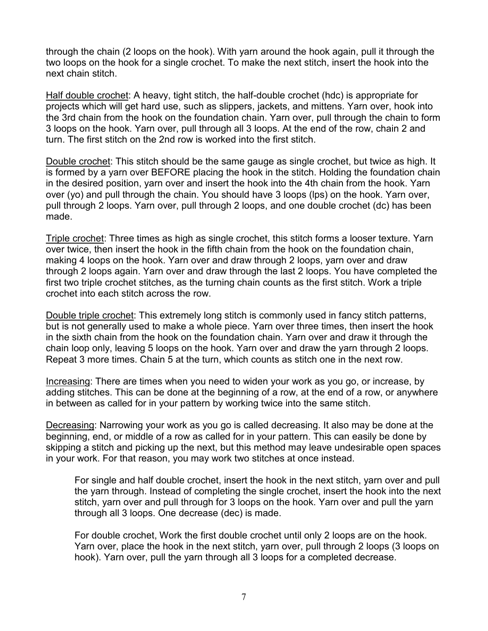through the chain (2 loops on the hook). With yarn around the hook again, pull it through the two loops on the hook for a single crochet. To make the next stitch, insert the hook into the next chain stitch.

Half double crochet: A heavy, tight stitch, the half-double crochet (hdc) is appropriate for projects which will get hard use, such as slippers, jackets, and mittens. Yarn over, hook into the 3rd chain from the hook on the foundation chain. Yarn over, pull through the chain to form 3 loops on the hook. Yarn over, pull through all 3 loops. At the end of the row, chain 2 and turn. The first stitch on the 2nd row is worked into the first stitch.

Double crochet: This stitch should be the same gauge as single crochet, but twice as high. It is formed by a yarn over BEFORE placing the hook in the stitch. Holding the foundation chain in the desired position, yarn over and insert the hook into the 4th chain from the hook. Yarn over (yo) and pull through the chain. You should have 3 loops (lps) on the hook. Yarn over, pull through 2 loops. Yarn over, pull through 2 loops, and one double crochet (dc) has been made.

Triple crochet: Three times as high as single crochet, this stitch forms a looser texture. Yarn over twice, then insert the hook in the fifth chain from the hook on the foundation chain, making 4 loops on the hook. Yarn over and draw through 2 loops, yarn over and draw through 2 loops again. Yarn over and draw through the last 2 loops. You have completed the first two triple crochet stitches, as the turning chain counts as the first stitch. Work a triple crochet into each stitch across the row.

Double triple crochet: This extremely long stitch is commonly used in fancy stitch patterns, but is not generally used to make a whole piece. Yarn over three times, then insert the hook in the sixth chain from the hook on the foundation chain. Yarn over and draw it through the chain loop only, leaving 5 loops on the hook. Yarn over and draw the yarn through 2 loops. Repeat 3 more times. Chain 5 at the turn, which counts as stitch one in the next row.

Increasing: There are times when you need to widen your work as you go, or increase, by adding stitches. This can be done at the beginning of a row, at the end of a row, or anywhere in between as called for in your pattern by working twice into the same stitch.

Decreasing: Narrowing your work as you go is called decreasing. It also may be done at the beginning, end, or middle of a row as called for in your pattern. This can easily be done by skipping a stitch and picking up the next, but this method may leave undesirable open spaces in your work. For that reason, you may work two stitches at once instead.

For single and half double crochet, insert the hook in the next stitch, yarn over and pull the yarn through. Instead of completing the single crochet, insert the hook into the next stitch, yarn over and pull through for 3 loops on the hook. Yarn over and pull the yarn through all 3 loops. One decrease (dec) is made.

For double crochet, Work the first double crochet until only 2 loops are on the hook. Yarn over, place the hook in the next stitch, yarn over, pull through 2 loops (3 loops on hook). Yarn over, pull the yarn through all 3 loops for a completed decrease.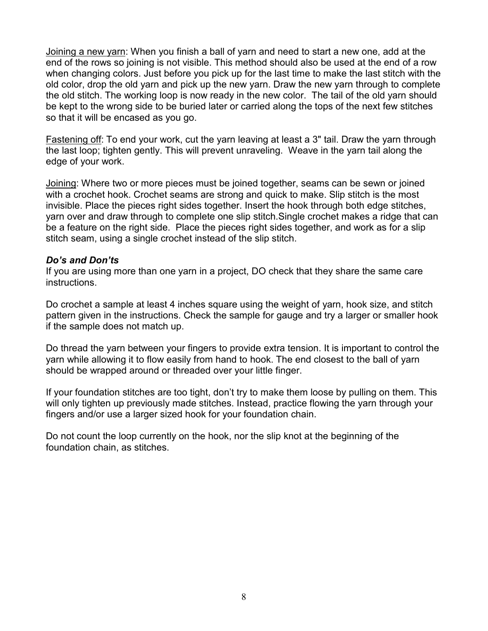Joining a new yarn: When you finish a ball of yarn and need to start a new one, add at the end of the rows so joining is not visible. This method should also be used at the end of a row when changing colors. Just before you pick up for the last time to make the last stitch with the old color, drop the old yarn and pick up the new yarn. Draw the new yarn through to complete the old stitch. The working loop is now ready in the new color. The tail of the old yarn should be kept to the wrong side to be buried later or carried along the tops of the next few stitches so that it will be encased as you go.

Fastening off: To end your work, cut the yarn leaving at least a 3" tail. Draw the yarn through the last loop; tighten gently. This will prevent unraveling. Weave in the yarn tail along the edge of your work.

Joining: Where two or more pieces must be joined together, seams can be sewn or joined with a crochet hook. Crochet seams are strong and quick to make. Slip stitch is the most invisible. Place the pieces right sides together. Insert the hook through both edge stitches, yarn over and draw through to complete one slip stitch.Single crochet makes a ridge that can be a feature on the right side. Place the pieces right sides together, and work as for a slip stitch seam, using a single crochet instead of the slip stitch.

#### *Do's and Don'ts*

If you are using more than one yarn in a project, DO check that they share the same care instructions.

Do crochet a sample at least 4 inches square using the weight of yarn, hook size, and stitch pattern given in the instructions. Check the sample for gauge and try a larger or smaller hook if the sample does not match up.

Do thread the yarn between your fingers to provide extra tension. It is important to control the yarn while allowing it to flow easily from hand to hook. The end closest to the ball of yarn should be wrapped around or threaded over your little finger.

If your foundation stitches are too tight, don't try to make them loose by pulling on them. This will only tighten up previously made stitches. Instead, practice flowing the yarn through your fingers and/or use a larger sized hook for your foundation chain.

Do not count the loop currently on the hook, nor the slip knot at the beginning of the foundation chain, as stitches.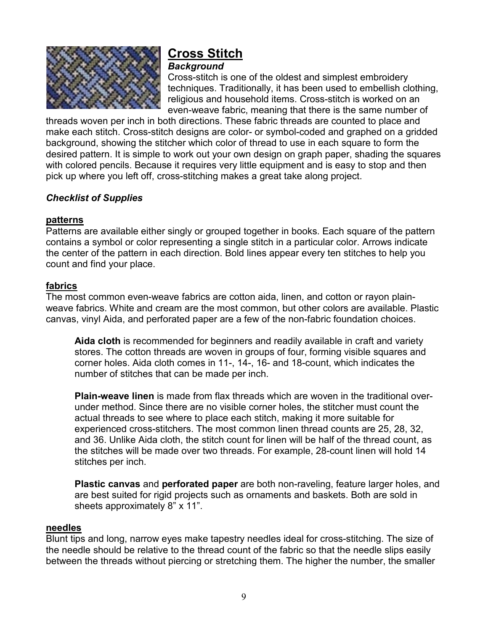

#### **Cross Stitch** *Background*

Cross-stitch is one of the oldest and simplest embroidery techniques. Traditionally, it has been used to embellish clothing, religious and household items. Cross-stitch is worked on an even-weave fabric, meaning that there is the same number of

threads woven per inch in both directions. These fabric threads are counted to place and make each stitch. Cross-stitch designs are color- or symbol-coded and graphed on a gridded background, showing the stitcher which color of thread to use in each square to form the desired pattern. It is simple to work out your own design on graph paper, shading the squares with colored pencils. Because it requires very little equipment and is easy to stop and then pick up where you left off, cross-stitching makes a great take along project.

#### *Checklist of Supplies*

#### **patterns**

Patterns are available either singly or grouped together in books. Each square of the pattern contains a symbol or color representing a single stitch in a particular color. Arrows indicate the center of the pattern in each direction. Bold lines appear every ten stitches to help you count and find your place.

#### **fabrics**

The most common even-weave fabrics are cotton aida, linen, and cotton or rayon plainweave fabrics. White and cream are the most common, but other colors are available. Plastic canvas, vinyl Aida, and perforated paper are a few of the non-fabric foundation choices.

**Aida cloth** is recommended for beginners and readily available in craft and variety stores. The cotton threads are woven in groups of four, forming visible squares and corner holes. Aida cloth comes in 11-, 14-, 16- and 18-count, which indicates the number of stitches that can be made per inch.

**Plain-weave linen** is made from flax threads which are woven in the traditional overunder method. Since there are no visible corner holes, the stitcher must count the actual threads to see where to place each stitch, making it more suitable for experienced cross-stitchers. The most common linen thread counts are 25, 28, 32, and 36. Unlike Aida cloth, the stitch count for linen will be half of the thread count, as the stitches will be made over two threads. For example, 28-count linen will hold 14 stitches per inch.

**Plastic canvas** and **perforated paper** are both non-raveling, feature larger holes, and are best suited for rigid projects such as ornaments and baskets. Both are sold in sheets approximately 8" x 11".

#### **needles**

Blunt tips and long, narrow eyes make tapestry needles ideal for cross-stitching. The size of the needle should be relative to the thread count of the fabric so that the needle slips easily between the threads without piercing or stretching them. The higher the number, the smaller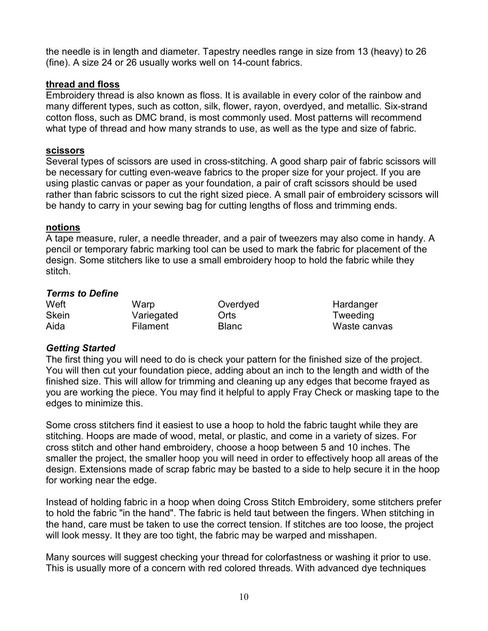the needle is in length and diameter. Tapestry needles range in size from 13 (heavy) to 26 (fine). A size 24 or 26 usually works well on 14-count fabrics.

#### **thread and floss**

Embroidery thread is also known as floss. It is available in every color of the rainbow and many different types, such as cotton, silk, flower, rayon, overdyed, and metallic. Six-strand cotton floss, such as DMC brand, is most commonly used. Most patterns will recommend what type of thread and how many strands to use, as well as the type and size of fabric.

#### **scissors**

Several types of scissors are used in cross-stitching. A good sharp pair of fabric scissors will be necessary for cutting even-weave fabrics to the proper size for your project. If you are using plastic canvas or paper as your foundation, a pair of craft scissors should be used rather than fabric scissors to cut the right sized piece. A small pair of embroidery scissors will be handy to carry in your sewing bag for cutting lengths of floss and trimming ends.

#### **notions**

A tape measure, ruler, a needle threader, and a pair of tweezers may also come in handy. A pencil or temporary fabric marking tool can be used to mark the fabric for placement of the design. Some stitchers like to use a small embroidery hoop to hold the fabric while they stitch.

#### *Terms to Define*

| Weft         | Warp       | Overdyed | Hardanger    |
|--------------|------------|----------|--------------|
| <b>Skein</b> | Variegated | Orts     | Tweeding     |
| Aida         | Filament   | Blanc    | Waste canvas |

#### *Getting Started*

The first thing you will need to do is check your pattern for the finished size of the project. You will then cut your foundation piece, adding about an inch to the length and width of the finished size. This will allow for trimming and cleaning up any edges that become frayed as you are working the piece. You may find it helpful to apply Fray Check or masking tape to the edges to minimize this.

Some cross stitchers find it easiest to use a hoop to hold the fabric taught while they are stitching. Hoops are made of wood, metal, or plastic, and come in a variety of sizes. For cross stitch and other hand embroidery, choose a hoop between 5 and 10 inches. The smaller the project, the smaller hoop you will need in order to effectively hoop all areas of the design. Extensions made of scrap fabric may be basted to a side to help secure it in the hoop for working near the edge.

Instead of holding fabric in a hoop when doing Cross Stitch Embroidery, some stitchers prefer to hold the fabric "in the hand". The fabric is held taut between the fingers. When stitching in the hand, care must be taken to use the correct tension. If stitches are too loose, the project will look messy. It they are too tight, the fabric may be warped and misshapen.

Many sources will suggest checking your thread for colorfastness or washing it prior to use. This is usually more of a concern with red colored threads. With advanced dye techniques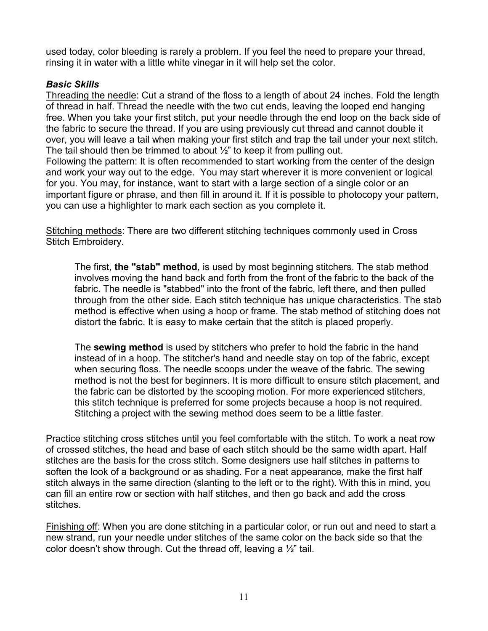used today, color bleeding is rarely a problem. If you feel the need to prepare your thread, rinsing it in water with a little white vinegar in it will help set the color.

#### *Basic Skills*

Threading the needle: Cut a strand of the floss to a length of about 24 inches. Fold the length of thread in half. Thread the needle with the two cut ends, leaving the looped end hanging free. When you take your first stitch, put your needle through the end loop on the back side of the fabric to secure the thread. If you are using previously cut thread and cannot double it over, you will leave a tail when making your first stitch and trap the tail under your next stitch. The tail should then be trimmed to about  $\frac{1}{2}$ " to keep it from pulling out.

Following the pattern: It is often recommended to start working from the center of the design and work your way out to the edge. You may start wherever it is more convenient or logical for you. You may, for instance, want to start with a large section of a single color or an important figure or phrase, and then fill in around it. If it is possible to photocopy your pattern, you can use a highlighter to mark each section as you complete it.

Stitching methods: There are two different stitching techniques commonly used in Cross Stitch Embroidery.

The first, **the "stab" method**, is used by most beginning stitchers. The stab method involves moving the hand back and forth from the front of the fabric to the back of the fabric. The needle is "stabbed" into the front of the fabric, left there, and then pulled through from the other side. Each stitch technique has unique characteristics. The stab method is effective when using a hoop or frame. The stab method of stitching does not distort the fabric. It is easy to make certain that the stitch is placed properly.

The **sewing method** is used by stitchers who prefer to hold the fabric in the hand instead of in a hoop. The stitcher's hand and needle stay on top of the fabric, except when securing floss. The needle scoops under the weave of the fabric. The sewing method is not the best for beginners. It is more difficult to ensure stitch placement, and the fabric can be distorted by the scooping motion. For more experienced stitchers, this stitch technique is preferred for some projects because a hoop is not required. Stitching a project with the sewing method does seem to be a little faster.

Practice stitching cross stitches until you feel comfortable with the stitch. To work a neat row of crossed stitches, the head and base of each stitch should be the same width apart. Half stitches are the basis for the cross stitch. Some designers use half stitches in patterns to soften the look of a background or as shading. For a neat appearance, make the first half stitch always in the same direction (slanting to the left or to the right). With this in mind, you can fill an entire row or section with half stitches, and then go back and add the cross stitches.

Finishing off: When you are done stitching in a particular color, or run out and need to start a new strand, run your needle under stitches of the same color on the back side so that the color doesn't show through. Cut the thread off, leaving a  $\frac{1}{2}$ " tail.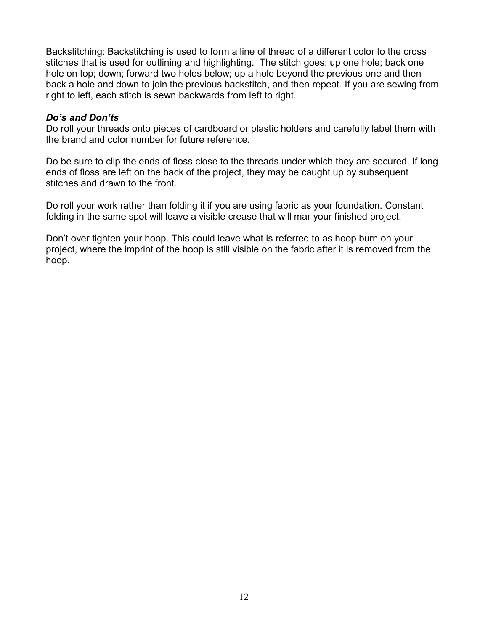Backstitching: Backstitching is used to form a line of thread of a different color to the cross stitches that is used for outlining and highlighting. The stitch goes: up one hole; back one hole on top; down; forward two holes below; up a hole beyond the previous one and then back a hole and down to join the previous backstitch, and then repeat. If you are sewing from right to left, each stitch is sewn backwards from left to right.

#### *Do's and Don'ts*

Do roll your threads onto pieces of cardboard or plastic holders and carefully label them with the brand and color number for future reference.

Do be sure to clip the ends of floss close to the threads under which they are secured. If long ends of floss are left on the back of the project, they may be caught up by subsequent stitches and drawn to the front.

Do roll your work rather than folding it if you are using fabric as your foundation. Constant folding in the same spot will leave a visible crease that will mar your finished project.

Don't over tighten your hoop. This could leave what is referred to as hoop burn on your project, where the imprint of the hoop is still visible on the fabric after it is removed from the hoop.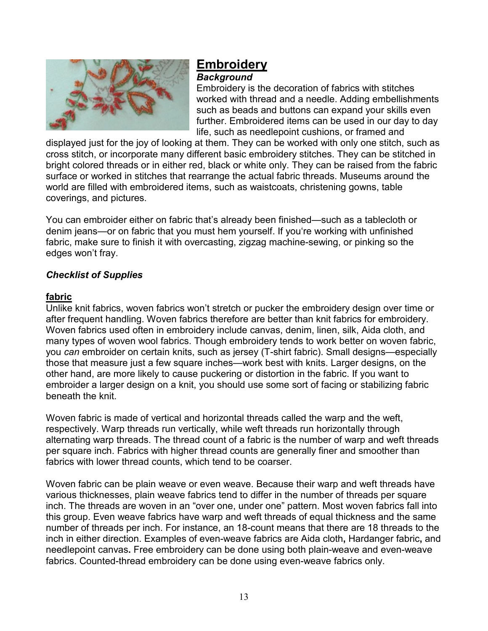

#### **Embroidery** *Background*

Embroidery is the decoration of fabrics with stitches worked with thread and a needle. Adding embellishments such as beads and buttons can expand your skills even further. Embroidered items can be used in our day to day life, such as needlepoint cushions, or framed and

displayed just for the joy of looking at them. They can be worked with only one stitch, such as cross stitch, or incorporate many different basic embroidery stitches. They can be stitched in bright colored threads or in either [red,](http://www.needlework-tips-and-techniques.com/redwork-embroidery.html) [black](http://www.needlework-tips-and-techniques.com/blackwork.html) or [white](http://www.needlework-tips-and-techniques.com/whitework-embroidery.html) only. They can be raised from the fabric surface or worked in stitches that rearrange the actual fabric threads. Museums around the world are filled with embroidered items, such as waistcoats, christening gowns, table coverings, and pictures.

You can embroider either on fabric that's already been finished—such as a tablecloth or denim jeans—or on fabric that you must hem yourself. If you're working with unfinished fabric, make sure to finish it with overcasting, zigzag machine-sewing, or pinking so the edges won't fray.

#### *Checklist of Supplies*

#### **fabric**

Unlike knit fabrics, woven fabrics won't stretch or pucker the embroidery design over time or after frequent handling. Woven fabrics therefore are better than knit fabrics for embroidery. Woven fabrics used often in embroidery include canvas, denim, linen, silk, Aida cloth, and many types of woven wool fabrics. Though embroidery tends to work better on woven fabric, you *can* embroider on certain knits, such as jersey (T-shirt fabric). Small designs—especially those that measure just a few square inches—work best with knits. Larger designs, on the other hand, are more likely to cause puckering or distortion in the fabric. If you want to embroider a larger design on a knit, you should use some sort of facing or stabilizing fabric beneath the knit.

Woven fabric is made of vertical and horizontal threads called the warp and the weft, respectively. Warp threads run vertically, while weft threads run horizontally through alternating warp threads. The thread count of a fabric is the number of warp and weft threads per square inch. Fabrics with higher thread counts are generally finer and smoother than fabrics with lower thread counts, which tend to be coarser.

Woven fabric can be plain weave or even weave. Because their warp and weft threads have various thicknesses, plain weave fabrics tend to differ in the number of threads per square inch. The threads are woven in an "over one, under one" pattern. Most woven fabrics fall into this group. Even weave fabrics have warp and weft threads of equal thickness and the same number of threads per inch. For instance, an 18-count means that there are 18 threads to the inch in either direction. Examples of even-weave fabrics are Aida cloth**,** Hardanger fabric**,** and needlepoint canvas**.** Free embroidery can be done using both plain-weave and even-weave fabrics. Counted-thread embroidery can be done using even-weave fabrics only.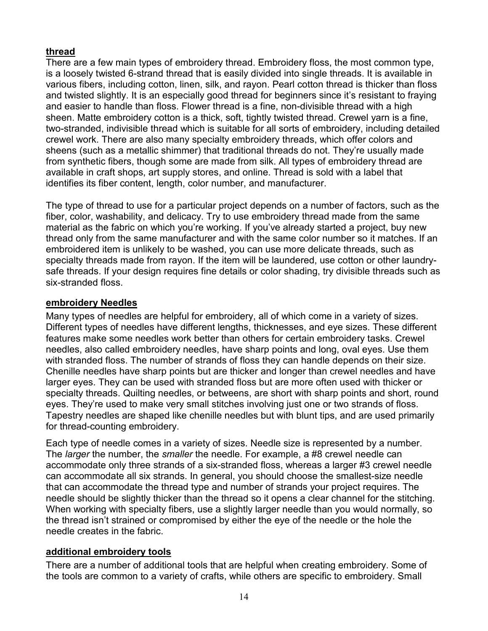#### **thread**

There are a few main types of embroidery thread. Embroidery floss, the most common type, is a loosely twisted 6-strand thread that is easily divided into single threads. It is available in various fibers, including cotton, linen, silk, and rayon. Pearl cotton thread is thicker than floss and twisted slightly. It is an especially good thread for beginners since it's resistant to fraying and easier to handle than floss. Flower thread is a fine, non-divisible thread with a high sheen. Matte embroidery cotton is a thick, soft, tightly twisted thread. Crewel yarn is a fine, two-stranded, indivisible thread which is suitable for all sorts of embroidery, including detailed crewel work. There are also many specialty embroidery threads, which offer colors and sheens (such as a metallic shimmer) that traditional threads do not. They're usually made from synthetic fibers, though some are made from silk. All types of embroidery thread are available in craft shops, art supply stores, and online. Thread is sold with a label that identifies its fiber content, length, color number, and manufacturer.

The type of thread to use for a particular project depends on a number of factors, such as the fiber, color, washability, and delicacy. Try to use embroidery thread made from the same material as the fabric on which you're working. If you've already started a project, buy new thread only from the same manufacturer and with the same color number so it matches. If an embroidered item is unlikely to be washed, you can use more delicate threads, such as specialty threads made from rayon. If the item will be laundered, use cotton or other laundrysafe threads. If your design requires fine details or color shading, try divisible threads such as six-stranded floss.

#### **embroidery Needles**

Many types of needles are helpful for embroidery, all of which come in a variety of sizes. Different types of needles have different lengths, thicknesses, and eye sizes. These different features make some needles work better than others for certain embroidery tasks. Crewel needles, also called embroidery needles, have sharp points and long, oval eyes. Use them with stranded floss. The number of strands of floss they can handle depends on their size. Chenille needles have sharp points but are thicker and longer than crewel needles and have larger eyes. They can be used with stranded floss but are more often used with thicker or specialty threads. Quilting needles, or betweens, are short with sharp points and short, round eyes. They're used to make very small stitches involving just one or two strands of floss. Tapestry needles are shaped like chenille needles but with blunt tips, and are used primarily for thread-counting embroidery.

Each type of needle comes in a variety of sizes. Needle size is represented by a number. The *larger* the number, the *smaller* the needle. For example, a #8 crewel needle can accommodate only three strands of a six-stranded floss, whereas a larger #3 crewel needle can accommodate all six strands. In general, you should choose the smallest-size needle that can accommodate the thread type and number of strands your project requires. The needle should be slightly thicker than the thread so it opens a clear channel for the stitching. When working with specialty fibers, use a slightly larger needle than you would normally, so the thread isn't strained or compromised by either the eye of the needle or the hole the needle creates in the fabric.

#### **additional embroidery tools**

There are a number of additional tools that are helpful when creating embroidery. Some of the tools are common to a variety of crafts, while others are specific to embroidery. Small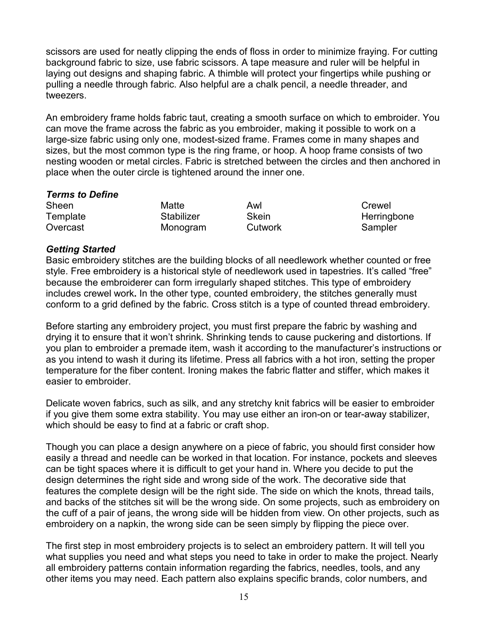scissors are used for neatly clipping the ends of floss in order to minimize fraying. For cutting background fabric to size, use fabric scissors. A tape measure and ruler will be helpful in laying out designs and shaping fabric. A thimble will protect your fingertips while pushing or pulling a needle through fabric. Also helpful are a chalk pencil, a needle threader, and tweezers.

An embroidery frame holds fabric taut, creating a smooth surface on which to embroider. You can move the frame across the fabric as you embroider, making it possible to work on a large-size fabric using only one, modest-sized frame. Frames come in many shapes and sizes, but the most common type is the ring frame, or hoop. A hoop frame consists of two nesting wooden or metal circles. Fabric is stretched between the circles and then anchored in place when the outer circle is tightened around the inner one.

#### *Terms to Define*

Sheen Matte Awl Sheen Crewel Template Stabilizer Skein Herringbone Overcast Monogram Cutwork Sampler

#### *Getting Started*

Basic embroidery stitches are the building blocks of all needlework whether counted or free style. Free embroidery is a historical style of needlework used in tapestries. It's called "free" because the embroiderer can form irregularly shaped stitches. This type of embroidery includes crewel work**.** In the other type, counted embroidery, the stitches generally must conform to a grid defined by the fabric. Cross stitch is a type of counted thread embroidery.

Before starting any embroidery project, you must first prepare the fabric by washing and drying it to ensure that it won't shrink. Shrinking tends to cause puckering and distortions. If you plan to embroider a premade item, wash it according to the manufacturer's instructions or as you intend to wash it during its lifetime. Press all fabrics with a hot iron, setting the proper temperature for the fiber content. Ironing makes the fabric flatter and stiffer, which makes it easier to embroider.

Delicate woven fabrics, such as silk, and any stretchy knit fabrics will be easier to embroider if you give them some extra stability. You may use either an iron-on or tear-away stabilizer, which should be easy to find at a fabric or craft shop.

Though you can place a design anywhere on a piece of fabric, you should first consider how easily a thread and needle can be worked in that location. For instance, pockets and sleeves can be tight spaces where it is difficult to get your hand in. Where you decide to put the design determines the right side and wrong side of the work. The decorative side that features the complete design will be the right side. The side on which the knots, thread tails, and backs of the stitches sit will be the wrong side. On some projects, such as embroidery on the cuff of a pair of jeans, the wrong side will be hidden from view. On other projects, such as embroidery on a napkin, the wrong side can be seen simply by flipping the piece over.

The first step in most embroidery projects is to select an embroidery pattern. It will tell you what supplies you need and what steps you need to take in order to make the project. Nearly all embroidery patterns contain information regarding the fabrics, needles, tools, and any other items you may need. Each pattern also explains specific brands, color numbers, and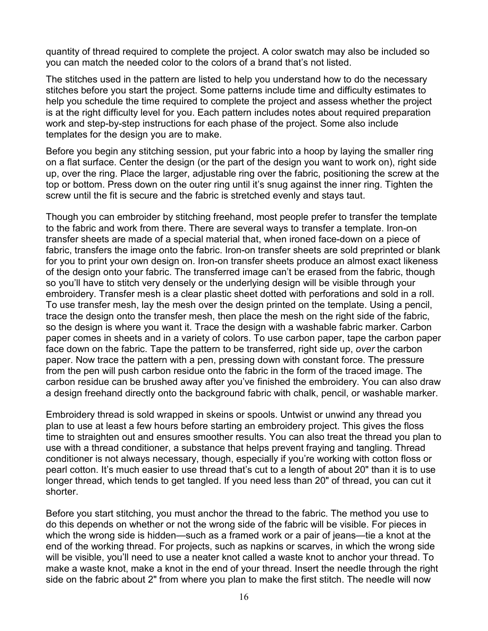quantity of thread required to complete the project. A color swatch may also be included so you can match the needed color to the colors of a brand that's not listed.

The stitches used in the pattern are listed to help you understand how to do the necessary stitches before you start the project. Some patterns include time and difficulty estimates to help you schedule the time required to complete the project and assess whether the project is at the right difficulty level for you. Each pattern includes notes about required preparation work and step-by-step instructions for each phase of the project. Some also include templates for the design you are to make.

Before you begin any stitching session, put your fabric into a hoop by laying the smaller ring on a flat surface. Center the design (or the part of the design you want to work on), right side up, over the ring. Place the larger, adjustable ring over the fabric, positioning the screw at the top or bottom. Press down on the outer ring until it's snug against the inner ring. Tighten the screw until the fit is secure and the fabric is stretched evenly and stays taut.

Though you can embroider by stitching freehand, most people prefer to transfer the template to the fabric and work from there. There are several ways to transfer a template. Iron-on transfer sheets are made of a special material that, when ironed face-down on a piece of fabric, transfers the image onto the fabric. Iron-on transfer sheets are sold preprinted or blank for you to print your own design on. Iron-on transfer sheets produce an almost exact likeness of the design onto your fabric. The transferred image can't be erased from the fabric, though so you'll have to stitch very densely or the underlying design will be visible through your embroidery. Transfer mesh is a clear plastic sheet dotted with perforations and sold in a roll. To use transfer mesh, lay the mesh over the design printed on the template. Using a pencil, trace the design onto the transfer mesh, then place the mesh on the right side of the fabric, so the design is where you want it. Trace the design with a washable fabric marker. Carbon paper comes in sheets and in a variety of colors. To use carbon paper, tape the carbon paper face down on the fabric. Tape the pattern to be transferred, right side up, *over* the carbon paper. Now trace the pattern with a pen, pressing down with constant force. The pressure from the pen will push carbon residue onto the fabric in the form of the traced image. The carbon residue can be brushed away after you've finished the embroidery. You can also draw a design freehand directly onto the background fabric with chalk, pencil, or washable marker.

Embroidery thread is sold wrapped in skeins or spools. Untwist or unwind any thread you plan to use at least a few hours before starting an embroidery project. This gives the floss time to straighten out and ensures smoother results. You can also treat the thread you plan to use with a thread conditioner, a substance that helps prevent fraying and tangling. Thread conditioner is not always necessary, though, especially if you're working with cotton floss or pearl cotton. It's much easier to use thread that's cut to a length of about 20" than it is to use longer thread, which tends to get tangled. If you need less than 20" of thread, you can cut it shorter.

Before you start stitching, you must anchor the thread to the fabric. The method you use to do this depends on whether or not the wrong side of the fabric will be visible. For pieces in which the wrong side is hidden—such as a framed work or a pair of jeans—tie a knot at the end of the working thread. For projects, such as napkins or scarves, in which the wrong side will be visible, you'll need to use a neater knot called a waste knot to anchor your thread. To make a waste knot, make a knot in the end of your thread. Insert the needle through the right side on the fabric about 2" from where you plan to make the first stitch. The needle will now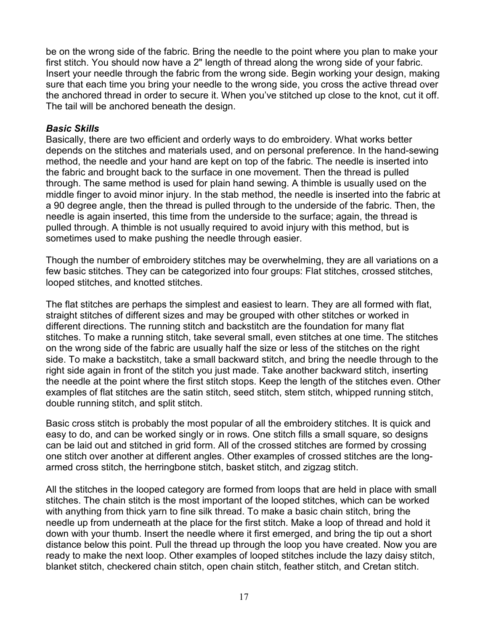be on the wrong side of the fabric. Bring the needle to the point where you plan to make your first stitch. You should now have a 2" length of thread along the wrong side of your fabric. Insert your needle through the fabric from the wrong side. Begin working your design, making sure that each time you bring your needle to the wrong side, you cross the active thread over the anchored thread in order to secure it. When you've stitched up close to the knot, cut it off. The tail will be anchored beneath the design.

#### *Basic Skills*

Basically, there are two efficient and orderly ways to do embroidery. What works better depends on the stitches and materials used, and on personal preference. In the hand-sewing method, the needle and your hand are kept on top of the fabric. The needle is inserted into the fabric and brought back to the surface in one movement. Then the thread is pulled through. The same method is used for plain hand sewing. A thimble is usually used on the middle finger to avoid minor injury. In the stab method, the needle is inserted into the fabric at a 90 degree angle, then the thread is pulled through to the underside of the fabric. Then, the needle is again inserted, this time from the underside to the surface; again, the thread is pulled through. A thimble is not usually required to avoid injury with this method, but is sometimes used to make pushing the needle through easier.

Though the number of embroidery stitches may be overwhelming, they are all variations on a few basic stitches. They can be categorized into four groups: Flat stitches, crossed stitches, looped stitches, and knotted stitches.

The flat stitches are perhaps the simplest and easiest to learn. They are all formed with flat, straight stitches of different sizes and may be grouped with other stitches or worked in different directions. The running stitch and backstitch are the foundation for many flat stitches. To make a running stitch, take several small, even stitches at one time. The stitches on the wrong side of the fabric are usually half the size or less of the stitches on the right side. To make a backstitch, take a small backward stitch, and bring the needle through to the right side again in front of the stitch you just made. Take another backward stitch, inserting the needle at the point where the first stitch stops. Keep the length of the stitches even. Other examples of flat stitches are the satin stitch, seed stitch, stem stitch, whipped running stitch, double running stitch, and split stitch.

Basic cross stitch is probably the most popular of all the embroidery stitches. It is quick and easy to do, and can be worked singly or in rows. One stitch fills a small square, so designs can be laid out and stitched in grid form. All of the crossed stitches are formed by crossing one stitch over another at different angles. Other examples of crossed stitches are the longarmed cross stitch, the herringbone stitch, basket stitch, and zigzag stitch.

All the stitches in the looped category are formed from loops that are held in place with small stitches. The chain stitch is the most important of the looped stitches, which can be worked with anything from thick yarn to fine silk thread. To make a basic chain stitch, bring the needle up from underneath at the place for the first stitch. Make a loop of thread and hold it down with your thumb. Insert the needle where it first emerged, and bring the tip out a short distance below this point. Pull the thread up through the loop you have created. Now you are ready to make the next loop. Other examples of looped stitches include the lazy daisy stitch, blanket stitch, checkered chain stitch, open chain stitch, feather stitch, and Cretan stitch.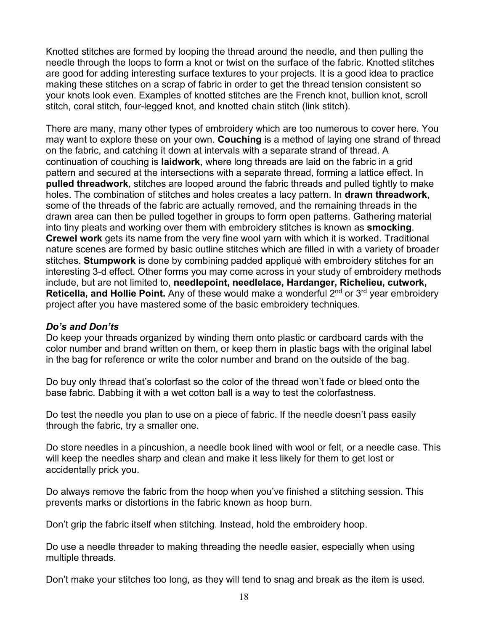Knotted stitches are formed by looping the thread around the needle, and then pulling the needle through the loops to form a knot or twist on the surface of the fabric. Knotted stitches are good for adding interesting surface textures to your projects. It is a good idea to practice making these stitches on a scrap of fabric in order to get the thread tension consistent so your knots look even. Examples of knotted stitches are the French knot, bullion knot, scroll stitch, coral stitch, four-legged knot, and knotted chain stitch (link stitch).

There are many, many other types of embroidery which are too numerous to cover here. You may want to explore these on your own. **Couching** is a method of laying one strand of thread on the fabric, and catching it down at intervals with a separate strand of thread. A continuation of couching is **laidwork**, where long threads are laid on the fabric in a grid pattern and secured at the intersections with a separate thread, forming a lattice effect. In **pulled threadwork**, stitches are looped around the fabric threads and pulled tightly to make holes. The combination of stitches and holes creates a lacy pattern. In **drawn threadwork**, some of the threads of the fabric are actually removed, and the remaining threads in the drawn area can then be pulled together in groups to form open patterns. Gathering material into tiny pleats and working over them with embroidery stitches is known as **smocking**. **Crewel work** gets its name from the very fine wool yarn with which it is worked. Traditional nature scenes are formed by basic outline stitches which are filled in with a variety of broader stitches. **Stumpwork** is done by combining padded appliqué with embroidery stitches for an interesting 3-d effect. Other forms you may come across in your study of embroidery methods include, but are not limited to, **needlepoint, needlelace, Hardanger, Richelieu, cutwork, Reticella, and Hollie Point.** Any of these would make a wonderful 2<sup>nd</sup> or 3<sup>rd</sup> year embroidery project after you have mastered some of the basic embroidery techniques.

#### *Do's and Don'ts*

Do keep your threads organized by winding them onto plastic or cardboard cards with the color number and brand written on them, or keep them in plastic bags with the original label in the bag for reference or write the color number and brand on the outside of the bag.

Do buy only thread that's colorfast so the color of the thread won't fade or bleed onto the base fabric. Dabbing it with a wet cotton ball is a way to test the colorfastness.

Do test the needle you plan to use on a piece of fabric. If the needle doesn't pass easily through the fabric, try a smaller one.

Do store needles in a pincushion, a needle book lined with wool or felt, or a needle case. This will keep the needles sharp and clean and make it less likely for them to get lost or accidentally prick you.

Do always remove the fabric from the hoop when you've finished a stitching session. This prevents marks or distortions in the fabric known as hoop burn.

Don't grip the fabric itself when stitching. Instead, hold the embroidery hoop.

Do use a needle threader to making threading the needle easier, especially when using multiple threads.

Don't make your stitches too long, as they will tend to snag and break as the item is used.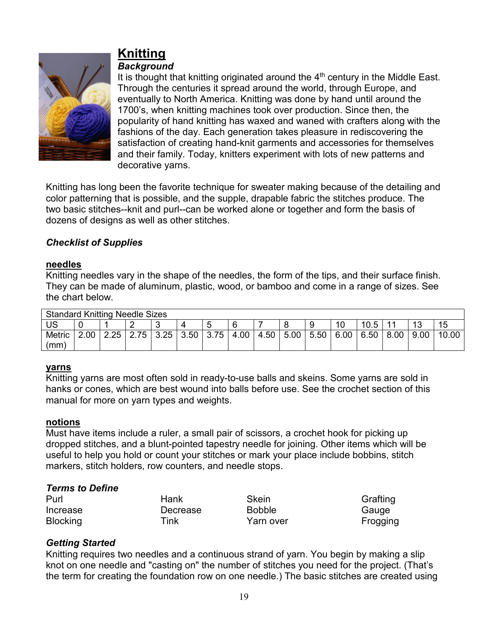

# **Knitting**

#### *Background*

It is thought that knitting originated around the  $4<sup>th</sup>$  century in the Middle East. Through the centuries it spread around the world, through Europe, and eventually to North America. Knitting was done by hand until around the 1700's, when knitting machines took over production. Since then, the popularity of hand knitting has waxed and waned with crafters along with the fashions of the day. Each generation takes pleasure in rediscovering the satisfaction of creating hand-knit garments and accessories for themselves and their family. Today, knitters experiment with lots of new patterns and decorative yarns.

Knitting has long been the favorite technique for sweater making because of the detailing and color patterning that is possible, and the supple, drapable fabric the stitches produce. The two basic stitches--knit and purl--can be worked alone or together and form the basis of dozens of designs as well as other stitches.

#### *Checklist of Supplies*

#### **needles**

Knitting needles vary in the shape of the needles, the form of the tips, and their surface finish. They can be made of aluminum, plastic, wood, or bamboo and come in a range of sizes. See the chart below.

| <b>Standard Knitting</b><br><b>Needle Sizes</b> |     |      |                        |      |      |      |           |      |      |      |      |      |      |      |       |
|-------------------------------------------------|-----|------|------------------------|------|------|------|-----------|------|------|------|------|------|------|------|-------|
|                                                 |     |      | $\sqrt{2}$<br><u>_</u> |      | 4    |      |           |      |      |      | 10   | 10.5 |      | 13   |       |
| Metric                                          | .00 | 2.25 | 2.75<br>⌒              | 3.25 | 3.50 | 3.75 | .00.<br>4 | 4.50 | 5.00 | 5.50 | 6.00 | 6.50 | 8.00 | 9.00 | 10.00 |
| (mm)                                            |     |      |                        |      |      |      |           |      |      |      |      |      |      |      |       |

#### **yarns**

Knitting yarns are most often sold in ready-to-use balls and skeins. Some yarns are sold in hanks or cones, which are best wound into balls before use. See the crochet section of this manual for more on yarn types and weights.

#### **notions**

Must have items include a ruler, a small pair of scissors, a crochet hook for picking up dropped stitches, and a blunt-pointed tapestry needle for joining. Other items which will be useful to help you hold or count your stitches or mark your place include bobbins, stitch markers, stitch holders, row counters, and needle stops.

| <b>Terms to Define</b> |          |               |          |
|------------------------|----------|---------------|----------|
| Purl                   | Hank     | Skein         | Grafting |
| Increase               | Decrease | <b>Bobble</b> | Gauge    |
| <b>Blocking</b>        | Tink     | Yarn over     | Frogging |

#### *Getting Started*

Knitting requires two needles and a continuous strand of yarn. You begin by making a slip knot on one needle and "casting on" the number of stitches you need for the project. (That's the term for creating the foundation row on one needle.) The basic stitches are created using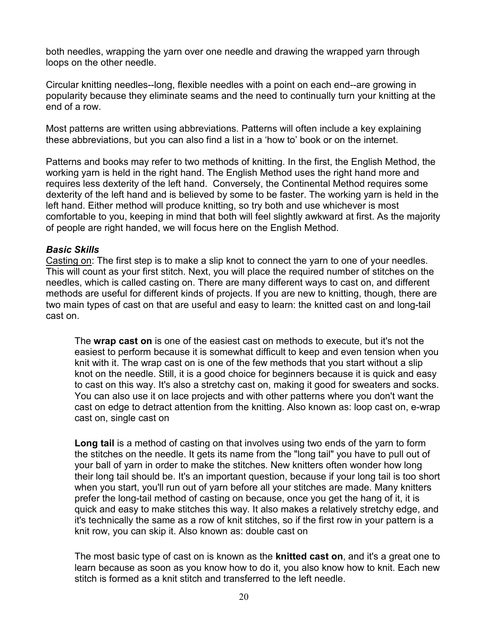both needles, wrapping the yarn over one needle and drawing the wrapped yarn through loops on the other needle.

Circular knitting needles--long, flexible needles with a point on each end--are growing in popularity because they eliminate seams and the need to continually turn your knitting at the end of a row.

Most patterns are written using abbreviations. Patterns will often include a key explaining these abbreviations, but you can also find a list in a 'how to' book or on the internet.

Patterns and books may refer to two methods of knitting. In the first, the English Method, the working yarn is held in the right hand. The English Method uses the right hand more and requires less dexterity of the left hand. Conversely, the Continental Method requires some dexterity of the left hand and is believed by some to be faster. The working yarn is held in the left hand. Either method will produce knitting, so try both and use whichever is most comfortable to you, keeping in mind that both will feel slightly awkward at first. As the majority of people are right handed, we will focus here on the English Method.

#### *Basic Skills*

Casting on: The first step is to make a slip knot to connect the yarn to one of your needles. This will count as your first stitch. Next, you will place the required number of stitches on the needles, which is called casting on. There are many different ways to cast on, and different methods are useful for different kinds of projects. If you are new to knitting, though, there are two main types of cast on that are useful and easy to learn: the knitted cast on and long-tail cast on.

The **wrap cast on** is one of the easiest cast on methods to execute, but it's not the easiest to perform because it is somewhat difficult to keep and even tension when you knit with it. The wrap cast on is one of the few methods that you start without a slip knot on the needle. Still, it is a good choice for beginners because it is quick and easy to cast on this way. It's also a stretchy cast on, making it good for sweaters and socks. You can also use it on lace projects and with other patterns where you don't want the cast on edge to detract attention from the knitting. Also known as: loop cast on, e-wrap cast on, single cast on

**Long tail** is a method of casting on that involves using two ends of the yarn to form the stitches on the needle. It gets its name from the "long tail" you have to pull out of your ball of yarn in order to make the stitches. New knitters often wonder how long their long tail should be. It's an important question, because if your long tail is too short when you start, you'll run out of yarn before all your stitches are made. Many knitters prefer the long-tail method of casting on because, once you get the hang of it, it is quick and easy to make stitches this way. It also makes a relatively stretchy edge, and it's technically the same as a row of knit stitches, so if the first row in your pattern is a knit row, you can skip it. Also known as: double cast on

The most basic type of cast on is known as the **knitted cast on**, and it's a great one to learn because as soon as you know how to do it, you also know how to knit. Each new stitch is formed as a knit stitch and transferred to the left needle.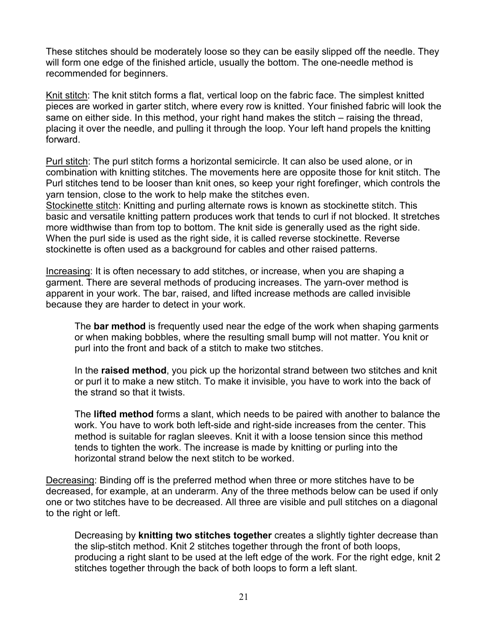These stitches should be moderately loose so they can be easily slipped off the needle. They will form one edge of the finished article, usually the bottom. The one-needle method is recommended for beginners.

Knit stitch: The knit stitch forms a flat, vertical loop on the fabric face. The simplest knitted pieces are worked in garter stitch, where every row is knitted. Your finished fabric will look the same on either side. In this method, your right hand makes the stitch – raising the thread, placing it over the needle, and pulling it through the loop. Your left hand propels the knitting forward.

Purl stitch: The purl stitch forms a horizontal semicircle. It can also be used alone, or in combination with knitting stitches. The movements here are opposite those for knit stitch. The Purl stitches tend to be looser than knit ones, so keep your right forefinger, which controls the yarn tension, close to the work to help make the stitches even.

Stockinette stitch: Knitting and purling alternate rows is known as stockinette stitch. This basic and versatile knitting pattern produces work that tends to curl if not blocked. It stretches more widthwise than from top to bottom. The knit side is generally used as the right side. When the purl side is used as the right side, it is called reverse stockinette. Reverse stockinette is often used as a background for cables and other raised patterns.

Increasing: It is often necessary to add stitches, or increase, when you are shaping a garment. There are several methods of producing increases. The yarn-over method is apparent in your work. The bar, raised, and lifted increase methods are called invisible because they are harder to detect in your work.

The **bar method** is frequently used near the edge of the work when shaping garments or when making bobbles, where the resulting small bump will not matter. You knit or purl into the front and back of a stitch to make two stitches.

In the **raised method**, you pick up the horizontal strand between two stitches and knit or purl it to make a new stitch. To make it invisible, you have to work into the back of the strand so that it twists.

The **lifted method** forms a slant, which needs to be paired with another to balance the work. You have to work both left-side and right-side increases from the center. This method is suitable for raglan sleeves. Knit it with a loose tension since this method tends to tighten the work. The increase is made by knitting or purling into the horizontal strand below the next stitch to be worked.

Decreasing: Binding off is the preferred method when three or more stitches have to be decreased, for example, at an underarm. Any of the three methods below can be used if only one or two stitches have to be decreased. All three are visible and pull stitches on a diagonal to the right or left.

Decreasing by **knitting two stitches together** creates a slightly tighter decrease than the slip-stitch method. Knit 2 stitches together through the front of both loops, producing a right slant to be used at the left edge of the work. For the right edge, knit 2 stitches together through the back of both loops to form a left slant.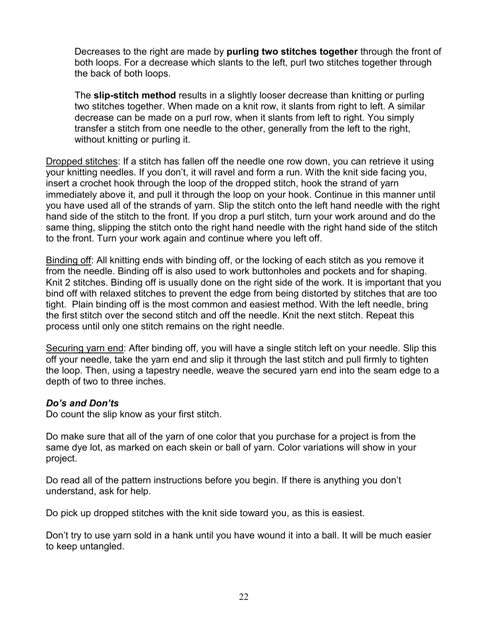Decreases to the right are made by **purling two stitches together** through the front of both loops. For a decrease which slants to the left, purl two stitches together through the back of both loops.

The **slip-stitch method** results in a slightly looser decrease than knitting or purling two stitches together. When made on a knit row, it slants from right to left. A similar decrease can be made on a purl row, when it slants from left to right. You simply transfer a stitch from one needle to the other, generally from the left to the right, without knitting or purling it.

Dropped stitches: If a stitch has fallen off the needle one row down, you can retrieve it using your knitting needles. If you don't, it will ravel and form a run. With the knit side facing you, insert a crochet hook through the loop of the dropped stitch, hook the strand of yarn immediately above it, and pull it through the loop on your hook. Continue in this manner until you have used all of the strands of yarn. Slip the stitch onto the left hand needle with the right hand side of the stitch to the front. If you drop a purl stitch, turn your work around and do the same thing, slipping the stitch onto the right hand needle with the right hand side of the stitch to the front. Turn your work again and continue where you left off.

Binding off: All knitting ends with binding off, or the locking of each stitch as you remove it from the needle. Binding off is also used to work buttonholes and pockets and for shaping. Knit 2 stitches. Binding off is usually done on the right side of the work. It is important that you bind off with relaxed stitches to prevent the edge from being distorted by stitches that are too tight. Plain binding off is the most common and easiest method. With the left needle, bring the first stitch over the second stitch and off the needle. Knit the next stitch. Repeat this process until only one stitch remains on the right needle.

Securing yarn end: After binding off, you will have a single stitch left on your needle. Slip this off your needle, take the yarn end and slip it through the last stitch and pull firmly to tighten the loop. Then, using a tapestry needle, weave the secured yarn end into the seam edge to a depth of two to three inches.

#### *Do's and Don'ts*

Do count the slip know as your first stitch.

Do make sure that all of the yarn of one color that you purchase for a project is from the same dye lot, as marked on each skein or ball of yarn. Color variations will show in your project.

Do read all of the pattern instructions before you begin. If there is anything you don't understand, ask for help.

Do pick up dropped stitches with the knit side toward you, as this is easiest.

Don't try to use yarn sold in a hank until you have wound it into a ball. It will be much easier to keep untangled.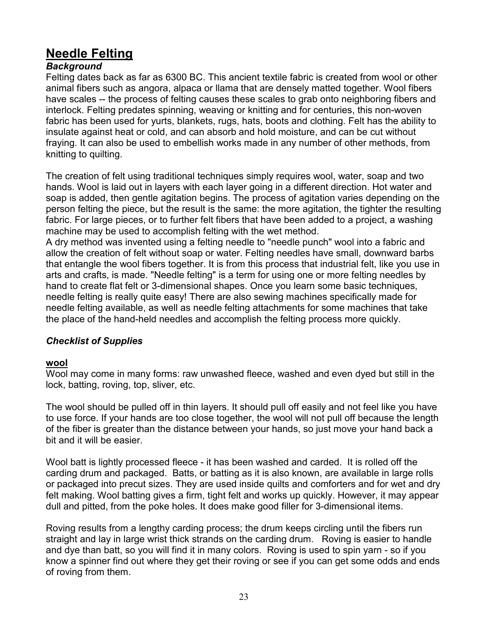# **Needle Felting**

#### *Background*

Felting dates back as far as 6300 BC. This ancient textile fabric is created from wool or other animal fibers such as angora, alpaca or llama that are densely matted together. Wool fibers have scales -- the process of felting causes these scales to grab onto neighboring fibers and interlock. Felting predates spinning, weaving or knitting and for centuries, this non-woven fabric has been used for yurts, blankets, rugs, hats, boots and clothing. Felt has the ability to insulate against heat or cold, and can absorb and hold moisture, and can be cut without fraying. It can also be used to embellish works made in any number of other methods, from knitting to quilting.

The creation of felt using traditional techniques simply requires wool, water, soap and two hands. Wool is laid out in layers with each layer going in a different direction. Hot water and soap is added, then gentle agitation begins. The process of agitation varies depending on the person felting the piece, but the result is the same: the more agitation, the tighter the resulting fabric. For large pieces, or to further felt fibers that have been added to a project, a washing machine may be used to accomplish felting with the wet method.

A dry method was invented using a felting needle to "needle punch" wool into a fabric and allow the creation of felt without soap or water. Felting needles have small, downward barbs that entangle the wool fibers together. It is from this process that industrial felt, like you use in arts and crafts, is made. "Needle felting" is a term for using one or more felting needles by hand to create flat felt or 3-dimensional shapes. Once you learn some basic techniques, needle felting is really quite easy! There are also sewing machines specifically made for needle felting available, as well as needle felting attachments for some machines that take the place of the hand-held needles and accomplish the felting process more quickly.

#### *Checklist of Supplies*

#### **wool**

Wool may come in many forms: raw unwashed fleece, washed and even dyed but still in the lock, batting, roving, top, sliver, etc.

The wool should be pulled off in thin layers. It should pull off easily and not feel like you have to use force. If your hands are too close together, the wool will not pull off because the length of the fiber is greater than the distance between your hands, so just move your hand back a bit and it will be easier.

Wool batt is lightly processed fleece - it has been washed and carded. It is rolled off the carding drum and packaged. Batts, or batting as it is also known, are available in large rolls or packaged into precut sizes. They are used inside quilts and comforters and for wet and dry felt making. Wool batting gives a firm, tight felt and works up quickly. However, it may appear dull and pitted, from the poke holes. It does make good filler for 3-dimensional items.

Roving results from a lengthy carding process; the drum keeps circling until the fibers run straight and lay in large wrist thick strands on the carding drum. Roving is easier to handle and dye than batt, so you will find it in many colors. Roving is used to spin yarn - so if you know a spinner find out where they get their roving or see if you can get some odds and ends of roving from them.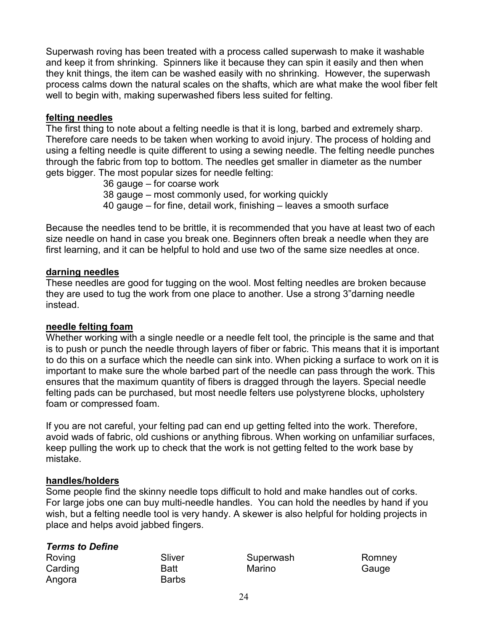Superwash roving has been treated with a process called superwash to make it washable and keep it from shrinking. Spinners like it because they can spin it easily and then when they knit things, the item can be washed easily with no shrinking. However, the superwash process calms down the natural scales on the shafts, which are what make the wool fiber felt well to begin with, making superwashed fibers less suited for felting.

#### **felting needles**

The first thing to note about a felting needle is that it is long, barbed and extremely sharp. Therefore care needs to be taken when working to avoid injury. The process of holding and using a felting needle is quite different to using a sewing needle. The felting needle punches through the fabric from top to bottom. The needles get smaller in diameter as the number gets bigger. The most popular sizes for needle felting:

36 gauge – for coarse work 38 gauge – most commonly used, for working quickly 40 gauge – for fine, detail work, finishing – leaves a smooth surface

Because the needles tend to be brittle, it is recommended that you have at least two of each size needle on hand in case you break one. Beginners often break a needle when they are first learning, and it can be helpful to hold and use two of the same size needles at once.

#### **darning needles**

These needles are good for tugging on the wool. Most felting needles are broken because they are used to tug the work from one place to another. Use a strong 3"darning needle instead.

#### **needle felting foam**

Whether working with a single needle or a needle felt tool, the principle is the same and that is to push or punch the needle through layers of fiber or fabric. This means that it is important to do this on a surface which the needle can sink into. When picking a surface to work on it is important to make sure the whole barbed part of the needle can pass through the work. This ensures that the maximum quantity of fibers is dragged through the layers. Special needle felting pads can be purchased, but most needle felters use polystyrene blocks, upholstery foam or compressed foam.

If you are not careful, your felting pad can end up getting felted into the work. Therefore, avoid wads of fabric, old cushions or anything fibrous. When working on unfamiliar surfaces, keep pulling the work up to check that the work is not getting felted to the work base by mistake.

#### **handles/holders**

Some people find the skinny needle tops difficult to hold and make handles out of corks. For large jobs one can buy multi-needle handles. You can hold the needles by hand if you wish, but a felting needle tool is very handy. A skewer is also helpful for holding projects in place and helps avoid jabbed fingers.

#### *Terms to Define*

| Roving  | Sliver       | Superwash | Romne |
|---------|--------------|-----------|-------|
| Carding | <b>Batt</b>  | Marino    | Gauge |
| Angora  | <b>Barbs</b> |           |       |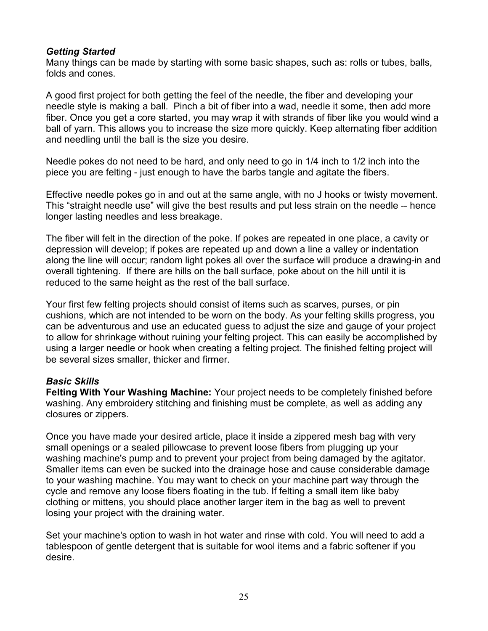#### *Getting Started*

Many things can be made by starting with some basic shapes, such as: rolls or tubes, balls, folds and cones.

A good first project for both getting the feel of the needle, the fiber and developing your needle style is making a ball. Pinch a bit of fiber into a wad, needle it some, then add more fiber. Once you get a core started, you may wrap it with strands of fiber like you would wind a ball of yarn. This allows you to increase the size more quickly. Keep alternating fiber addition and needling until the ball is the size you desire.

Needle pokes do not need to be hard, and only need to go in 1/4 inch to 1/2 inch into the piece you are felting - just enough to have the barbs tangle and agitate the fibers.

Effective needle pokes go in and out at the same angle, with no J hooks or twisty movement. This "straight needle use" will give the best results and put less strain on the needle -- hence longer lasting needles and less breakage.

The fiber will felt in the direction of the poke. If pokes are repeated in one place, a cavity or depression will develop; if pokes are repeated up and down a line a valley or indentation along the line will occur; random light pokes all over the surface will produce a drawing-in and overall tightening. If there are hills on the ball surface, poke about on the hill until it is reduced to the same height as the rest of the ball surface.

Your first few felting projects should consist of items such as scarves, purses, or pin cushions, which are not intended to be worn on the body. As your felting skills progress, you can be adventurous and use an educated guess to adjust the size and gauge of your project to allow for shrinkage without ruining your felting project. This can easily be accomplished by using a larger needle or hook when creating a felting project. The finished felting project will be several sizes smaller, thicker and firmer.

#### *Basic Skills*

**Felting With Your Washing Machine:** Your project needs to be completely finished before washing. Any embroidery stitching and finishing must be complete, as well as adding any closures or zippers.

Once you have made your desired article, place it inside a zippered mesh bag with very small openings or a sealed pillowcase to prevent loose fibers from plugging up your washing machine's pump and to prevent your project from being damaged by the agitator. Smaller items can even be sucked into the drainage hose and cause considerable damage to your washing machine. You may want to check on your machine part way through the cycle and remove any loose fibers floating in the tub. If felting a small item like baby clothing or mittens, you should place another larger item in the bag as well to prevent losing your project with the draining water.

Set your machine's option to wash in hot water and rinse with cold. You will need to add a tablespoon of gentle detergent that is suitable for wool items and a fabric softener if you desire.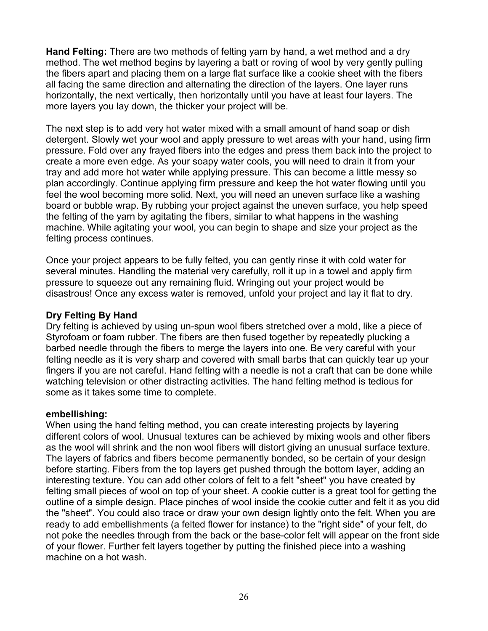**Hand Felting:** There are two methods of felting yarn by hand, a wet method and a dry method. The wet method begins by layering a batt or roving of wool by very gently pulling the fibers apart and placing them on a large flat surface like a cookie sheet with the fibers all facing the same direction and alternating the direction of the layers. One layer runs horizontally, the next vertically, then horizontally until you have at least four layers. The more layers you lay down, the thicker your project will be.

The next step is to add very hot water mixed with a small amount of hand soap or dish detergent. Slowly wet your wool and apply pressure to wet areas with your hand, using firm pressure. Fold over any frayed fibers into the edges and press them back into the project to create a more even edge. As your soapy water cools, you will need to drain it from your tray and add more hot water while applying pressure. This can become a little messy so plan accordingly. Continue applying firm pressure and keep the hot water flowing until you feel the wool becoming more solid. Next, you will need an uneven surface like a washing board or bubble wrap. By rubbing your project against the uneven surface, you help speed the felting of the yarn by agitating the fibers, similar to what happens in the washing machine. While agitating your wool, you can begin to shape and size your project as the felting process continues.

Once your project appears to be fully felted, you can gently rinse it with cold water for several minutes. Handling the material very carefully, roll it up in a towel and apply firm pressure to squeeze out any remaining fluid. Wringing out your project would be disastrous! Once any excess water is removed, unfold your project and lay it flat to dry.

#### **Dry Felting By Hand**

Dry felting is achieved by using un-spun wool fibers stretched over a mold, like a piece of Styrofoam or foam rubber. The fibers are then fused together by repeatedly plucking a barbed needle through the fibers to merge the layers into one. Be very careful with your felting needle as it is very sharp and covered with small barbs that can quickly tear up your fingers if you are not careful. Hand felting with a needle is not a craft that can be done while watching television or other distracting activities. The hand felting method is tedious for some as it takes some time to complete.

#### **embellishing:**

When using the hand felting method, you can create interesting projects by layering different colors of wool. Unusual textures can be achieved by mixing wools and other fibers as the wool will shrink and the non wool fibers will distort giving an unusual surface texture. The layers of fabrics and fibers become permanently bonded, so be certain of your design before starting. Fibers from the top layers get pushed through the bottom layer, adding an interesting texture. You can add other colors of felt to a felt "sheet" you have created by felting small pieces of wool on top of your sheet. A cookie cutter is a great tool for getting the outline of a simple design. Place pinches of wool inside the cookie cutter and felt it as you did the "sheet". You could also trace or draw your own design lightly onto the felt. When you are ready to add embellishments (a felted flower for instance) to the "right side" of your felt, do not poke the needles through from the back or the base-color felt will appear on the front side of your flower. Further felt layers together by putting the finished piece into a washing machine on a hot wash.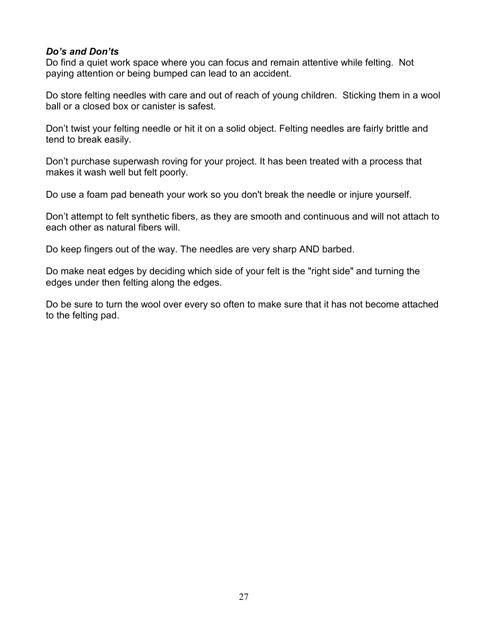#### *Do's and Don'ts*

Do find a quiet work space where you can focus and remain attentive while felting. Not paying attention or being bumped can lead to an accident.

Do store felting needles with care and out of reach of young children. Sticking them in a wool ball or a closed box or canister is safest.

Don't twist your felting needle or hit it on a solid object. Felting needles are fairly brittle and tend to break easily.

Don't purchase superwash roving for your project. It has been treated with a process that makes it wash well but felt poorly.

Do use a foam pad beneath your work so you don't break the needle or injure yourself.

Don't attempt to felt synthetic fibers, as they are smooth and continuous and will not attach to each other as natural fibers will.

Do keep fingers out of the way. The needles are very sharp AND barbed.

Do make neat edges by deciding which side of your felt is the "right side" and turning the edges under then felting along the edges.

Do be sure to turn the wool over every so often to make sure that it has not become attached to the felting pad.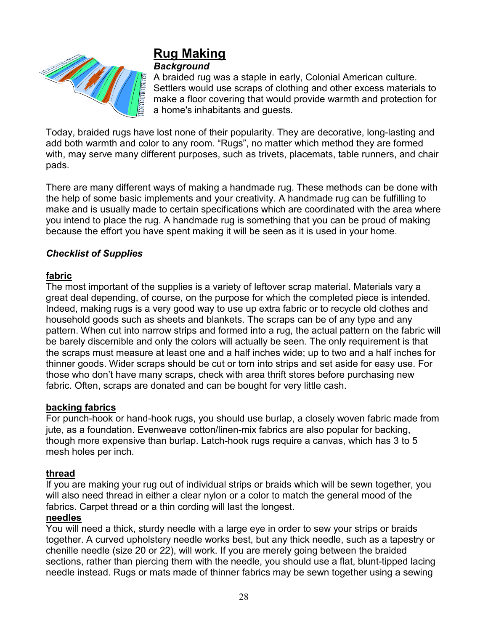

# **Rug Making**

*Background*

A braided rug was a staple in early, Colonial American culture. Settlers would use scraps of clothing and other excess materials to make a floor covering that would provide warmth and protection for a home's inhabitants and guests.

Today, braided rugs have lost none of their popularity. They are decorative, long-lasting and add both warmth and color to any room. "Rugs", no matter which method they are formed with, may serve many different purposes, such as trivets, placemats, table runners, and chair pads.

There are many different ways of making a handmade rug. These methods can be done with the help of some basic implements and your creativity. A handmade rug can be fulfilling to make and is usually made to certain specifications which are coordinated with the area where you intend to place the rug. A handmade rug is something that you can be proud of making because the effort you have spent making it will be seen as it is used in your home.

#### *Checklist of Supplies*

#### **fabric**

The most important of the supplies is a variety of leftover scrap material. Materials vary a great deal depending, of course, on the purpose for which the completed piece is intended. Indeed, making rugs is a very good way to use up extra fabric or to recycle old clothes and household goods such as sheets and blankets. The scraps can be of any type and any pattern. When cut into narrow strips and formed into a rug, the actual pattern on the fabric will be barely discernible and only the colors will actually be seen. The only requirement is that the scraps must measure at least one and a half inches wide; up to two and a half inches for thinner goods. Wider scraps should be cut or torn into strips and set aside for easy use. For those who don't have many scraps, check with area thrift stores before purchasing new [fabric.](http://www.essortment.com/all/braidedrugmaki_rkxo.htm) Often, scraps are donated and can be bought for very little cash.

#### **backing fabrics**

For punch-hook or hand-hook rugs, you should use burlap, a closely woven fabric made from jute, as a foundation. Evenweave cotton/linen-mix fabrics are also popular for backing, though more expensive than burlap. Latch-hook rugs require a canvas, which has 3 to 5 mesh holes per inch.

#### **thread**

If you are making your rug out of individual strips or braids which will be sewn together, you will also need thread in either a clear nylon or a color to match the general mood of the fabrics. Carpet thread or a thin cording will last the longest.

#### **needles**

You will need a thick, sturdy needle with a large eye in order to sew your strips or braids together. A curved upholstery needle works best, but any thick needle, such as a tapestry or chenille needle (size 20 or 22), will work. If you are merely going between the braided sections, rather than piercing them with the needle, you should use a flat, blunt-tipped lacing needle instead. Rugs or mats made of thinner fabrics may be sewn together using a sewing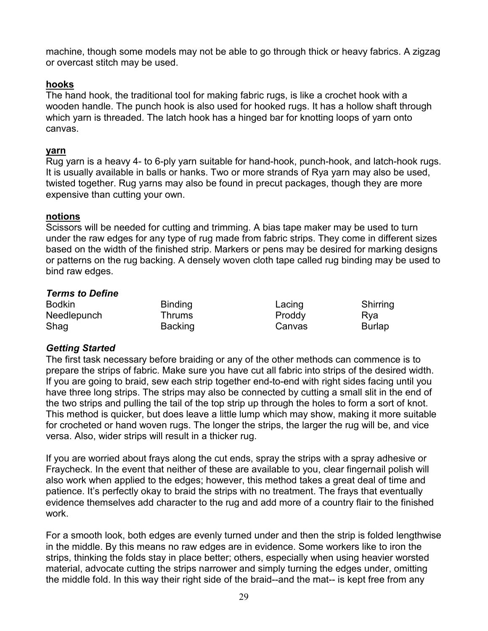machine, though some models may not be able to go through thick or heavy fabrics. A zigzag or overcast stitch may be used.

#### **hooks**

The hand hook, the traditional tool for making fabric rugs, is like a crochet hook with a wooden handle. The punch hook is also used for hooked rugs. It has a hollow shaft through which yarn is threaded. The latch hook has a hinged bar for knotting loops of yarn onto canvas.

#### **yarn**

Rug yarn is a heavy 4- to 6-ply yarn suitable for hand-hook, punch-hook, and latch-hook rugs. It is usually available in balls or hanks. Two or more strands of Rya yarn may also be used, twisted together. Rug yarns may also be found in precut packages, though they are more expensive than cutting your own.

#### **notions**

Scissors will be needed for cutting and trimming. A bias tape maker may be used to turn under the raw edges for any type of rug made from fabric strips. They come in different sizes based on the width of the finished strip. Markers or pens may be desired for marking designs or patterns on the rug backing. A densely woven cloth tape called rug binding may be used to bind raw edges.

#### *Terms to Define*

| <b>Bodkin</b> | <b>Binding</b> | Lacing | Shirring      |
|---------------|----------------|--------|---------------|
| Needlepunch   | <b>Thrums</b>  | Proddy | Rva           |
| Shag          | <b>Backing</b> | Canvas | <b>Burlap</b> |

#### *Getting Started*

The first task necessary before braiding or any of the other methods can commence is to prepare the strips of fabric. Make sure you have cut all fabric into strips of the desired width. If you are going to braid, sew each strip together end-to-end with right sides facing until you have three long strips. The strips may also be connected by cutting a small slit in the end of the two strips and pulling the tail of the top strip up through the holes to form a sort of knot. This method is quicker, but does leave a little lump which may show, making it more suitable for crocheted or hand woven rugs. The longer the strips, the larger the rug will be, and vice versa. Also, wider strips will result in a thicker rug.

If you are worried about frays along the cut ends, spray the strips with a spray adhesive or Fraycheck. In the event that neither of these are available to you, clear fingernail polish will also work when applied to the edges; however, this method takes a great deal of time and patience. It's perfectly okay to braid the strips with no treatment. The frays that eventually evidence themselves add character to the rug and add more of a country flair to the finished work.

For a smooth look, both edges are evenly turned under and then the strip is folded lengthwise in the middle. By this means no raw edges are in evidence. Some workers like to iron the strips, thinking the folds stay in place better; others, especially when using heavier worsted material, advocate cutting the strips narrower and simply turning the edges under, omitting the middle fold. In this way their right side of the braid--and the mat-- is kept free from any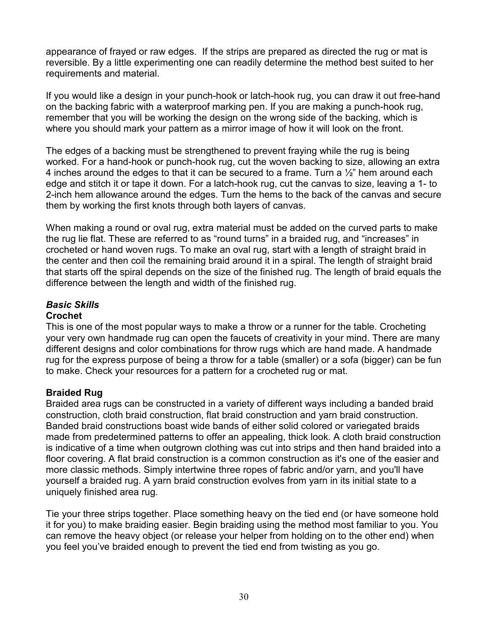appearance of frayed or raw edges. If the strips are prepared as directed the rug or mat is reversible. By a little experimenting one can readily determine the method best suited to her requirements and material.

If you would like a design in your punch-hook or latch-hook rug, you can draw it out free-hand on the backing fabric with a waterproof marking pen. If you are making a punch-hook rug, remember that you will be working the design on the wrong side of the backing, which is where you should mark your pattern as a mirror image of how it will look on the front.

The edges of a backing must be strengthened to prevent fraying while the rug is being worked. For a hand-hook or punch-hook rug, cut the woven backing to size, allowing an extra 4 inches around the edges to that it can be secured to a frame. Turn a  $\frac{1}{2}$ " hem around each edge and stitch it or tape it down. For a latch-hook rug, cut the canvas to size, leaving a 1- to 2-inch hem allowance around the edges. Turn the hems to the back of the canvas and secure them by working the first knots through both layers of canvas.

When making a round or oval rug, extra material must be added on the curved parts to make the rug lie flat. These are referred to as "round turns" in a braided rug, and "increases" in crocheted or hand woven rugs. To make an oval rug, start with a length of straight braid in the center and then coil the remaining braid around it in a spiral. The length of straight braid that starts off the spiral depends on the size of the finished rug. The length of braid equals the difference between the length and width of the finished rug.

## *Basic Skills*

#### **Crochet**

This is one of the most popular ways to make a throw or a runner for the table. Crocheting your very own handmade rug can open the faucets of creativity in your mind. There are many different designs and color combinations for throw rugs which are hand made. A handmade rug for the express purpose of being a throw for a table (smaller) or a sofa (bigger) can be fun to make. Check your resources for a pattern for a crocheted rug or mat.

#### **Braided Rug**

Braided area rugs can be constructed in a variety of different ways including a banded braid construction, cloth braid construction, flat braid construction and yarn braid construction. Banded braid constructions boast wide bands of either solid colored or variegated braids made from predetermined patterns to offer an appealing, thick look. A cloth braid construction is indicative of a time when outgrown clothing was cut into strips and then hand braided into a floor covering. A flat braid construction is a common construction as it's one of the easier and more classic methods. Simply intertwine three ropes of fabric and/or yarn, and you'll have yourself a braided rug. A yarn braid construction evolves from yarn in its initial state to a uniquely finished area rug.

[Tie](http://www.essortment.com/all/braidedrugmaki_rkxo.htm) your three strips together. Place something heavy on the tied end (or have someone hold it for you) to make braiding easier. Begin braiding using the method most familiar to you. You can remove the heavy object (or release your helper from holding on to the other end) when you feel you've braided enough to prevent the tied end from twisting as you go.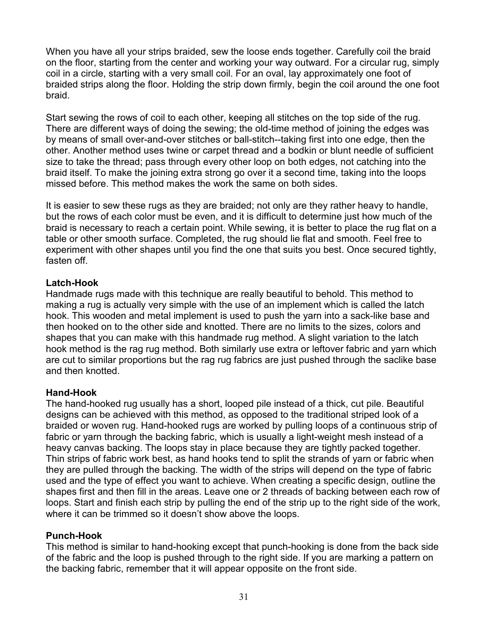When you have all your strips braided, sew the loose ends together. Carefully coil the braid on the floor, starting from the center and working your way outward. For a circular rug, simply coil in a circle, starting with a very small coil. For an oval, lay approximately one foot of braided strips along the floor. Holding the strip down firmly, begin the coil around the one foot braid.

Start sewing the rows of coil to each other, keeping all stitches on the top side of the rug. There are different ways of doing the sewing; the old-time method of joining the edges was by means of small over-and-over stitches or ball-stitch--taking first into one edge, then the other. Another method uses twine or carpet thread and a bodkin or blunt needle of sufficient size to take the thread; pass through every other loop on both edges, not catching into the braid itself. To make the joining extra strong go over it a second time, taking into the loops missed before. This method makes the work the same on both sides.

It is easier to sew these rugs as they are braided; not only are they rather heavy to handle, but the rows of each color must be even, and it is difficult to determine just how much of the braid is necessary to reach a certain point. While sewing, it is better to place the rug flat on a table or other smooth surface. Completed, the rug should lie flat and smooth. Feel free to experiment with other shapes until you find the one that suits you best. Once secured tightly, fasten off.

#### **Latch-Hook**

Handmade rugs made with this technique are really beautiful to behold. This method to making a rug is actually very simple with the use of an implement which is called the latch hook. This wooden and metal implement is used to push the yarn into a sack-like base and then hooked on to the other side and knotted. There are no limits to the sizes, colors and shapes that you can make with this handmade rug method. A slight variation to the latch hook method is the rag rug method. Both similarly use extra or leftover fabric and yarn which are cut to similar proportions but the rag rug fabrics are just pushed through the saclike base and then knotted.

#### **Hand-Hook**

The hand-hooked rug usually has a short, looped pile instead of a thick, cut pile. Beautiful designs can be achieved with this method, as opposed to the traditional striped look of a braided or woven rug. Hand-hooked rugs are worked by pulling loops of a continuous strip of fabric or yarn through the backing fabric, which is usually a light-weight mesh instead of a heavy canvas backing. The loops stay in place because they are tightly packed together. Thin strips of fabric work best, as hand hooks tend to split the strands of yarn or fabric when they are pulled through the backing. The width of the strips will depend on the type of fabric used and the type of effect you want to achieve. When creating a specific design, outline the shapes first and then fill in the areas. Leave one or 2 threads of backing between each row of loops. Start and finish each strip by pulling the end of the strip up to the right side of the work, where it can be trimmed so it doesn't show above the loops.

#### **Punch-Hook**

This method is similar to hand-hooking except that punch-hooking is done from the back side of the fabric and the loop is pushed through to the right side. If you are marking a pattern on the backing fabric, remember that it will appear opposite on the front side.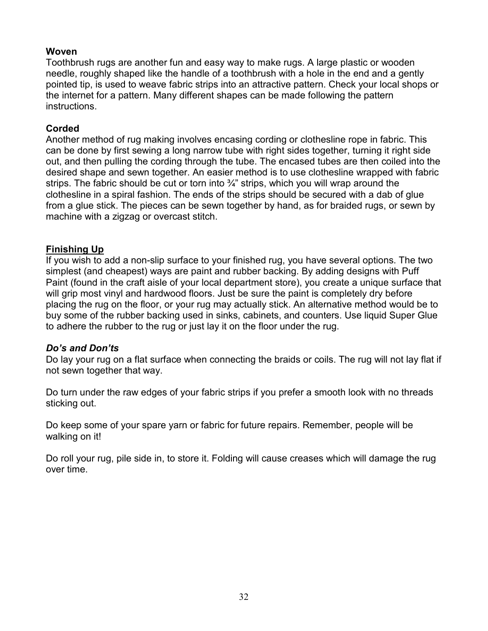#### **Woven**

Toothbrush rugs are another fun and easy way to make rugs. A large plastic or wooden needle, roughly shaped like the handle of a toothbrush with a hole in the end and a gently pointed tip, is used to weave fabric strips into an attractive pattern. Check your local shops or the internet for a pattern. Many different shapes can be made following the pattern instructions.

#### **Corded**

Another method of rug making involves encasing cording or clothesline rope in fabric. This can be done by first sewing a long narrow tube with right sides together, turning it right side out, and then pulling the cording through the tube. The encased tubes are then coiled into the desired shape and sewn together. An easier method is to use clothesline wrapped with fabric strips. The fabric should be cut or torn into  $\frac{3}{4}$ " strips, which you will wrap around the clothesline in a spiral fashion. The ends of the strips should be secured with a dab of glue from a glue stick. The pieces can be sewn together by hand, as for braided rugs, or sewn by machine with a zigzag or overcast stitch.

#### **Finishing Up**

If you wish to add a non-slip surface to your finished rug, you have several options. The two simplest (and cheapest) ways are [paint](http://www.essortment.com/all/braidedrugmaki_rkxo.htm) and rubber backing. By adding designs with Puff Paint (found in the craft aisle of your local department store), you create a unique surface that will grip most vinyl and [hardwood floors.](http://www.essortment.com/all/braidedrugmaki_rkxo.htm) Just be sure the paint is completely dry before placing the rug on the floor, or your rug may actually stick. An alternative method would be to buy some of the rubber backing used in sinks, [cabinets,](http://www.essortment.com/all/braidedrugmaki_rkxo.htm) and counters. Use liquid Super Glue to adhere the rubber to the rug or just lay it on the floor under the rug.

#### *Do's and Don'ts*

Do lay your rug on a flat surface when connecting the braids or coils. The rug will not lay flat if not sewn together that way.

Do turn under the raw edges of your fabric strips if you prefer a smooth look with no threads sticking out.

Do keep some of your spare yarn or fabric for future repairs. Remember, people will be walking on it!

Do roll your rug, pile side in, to store it. Folding will cause creases which will damage the rug over time.